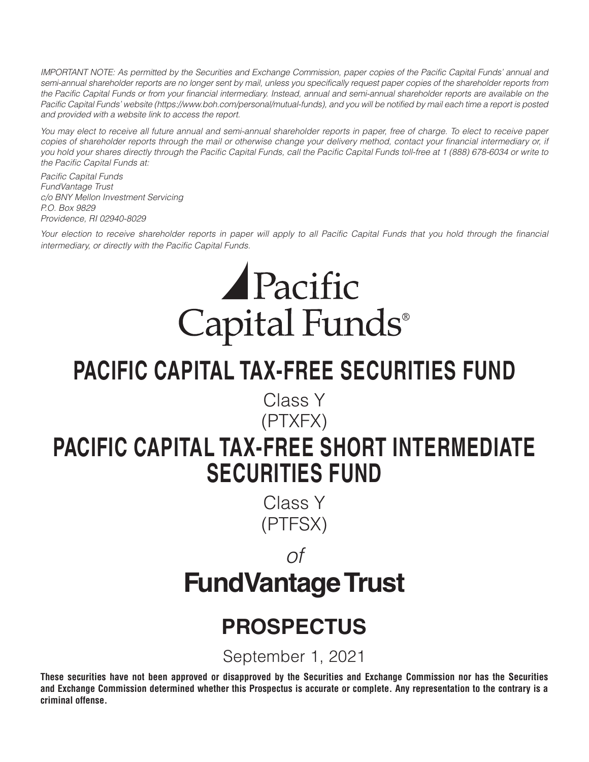*IMPORTANT NOTE: As permitted by the Securities and Exchange Commission, paper copies of the Pacific Capital Funds' annual and semi-annual shareholder reports are no longer sent by mail, unless you specifically request paper copies of the shareholder reports from the Pacific Capital Funds or from your financial intermediary. Instead, annual and semi-annual shareholder reports are available on the Pacific Capital Funds' website (https://www.boh.com/personal/mutual-funds), and you will be notified by mail each time a report is posted and provided with a website link to access the report.*

*You may elect to receive all future annual and semi-annual shareholder reports in paper, free of charge. To elect to receive paper*  copies of shareholder reports through the mail or otherwise change your delivery method, contact your financial intermediary or, if *you hold your shares directly through the Pacific Capital Funds, call the Pacific Capital Funds toll-free at 1 (888) 678-6034 or write to the Pacific Capital Funds at:*

*Pacific Capital Funds FundVantage Trust c/o BNY Mellon Investment Servicing P.O. Box 9829 Providence, RI 02940-8029*

*Your election to receive shareholder reports in paper will apply to all Pacific Capital Funds that you hold through the financial intermediary, or directly with the Pacific Capital Funds.*

# Pacific Capital Funds®

## **PACIFIC CAPITAL TAX-FREE SECURITIES FUND**

Class Y

## (PTXFX) **PACIFIC CAPITAL TAX-FREE SHORT INTERMEDIATE SECURITIES FUND**

Class Y (PTFSX)

## *of* **FundVantage Trust**

## **PROSPECTUS**

September 1, 2021

**These securities have not been approved or disapproved by the Securities and Exchange Commission nor has the Securities and Exchange Commission determined whether this Prospectus is accurate or complete. Any representation to the contrary is a criminal offense.**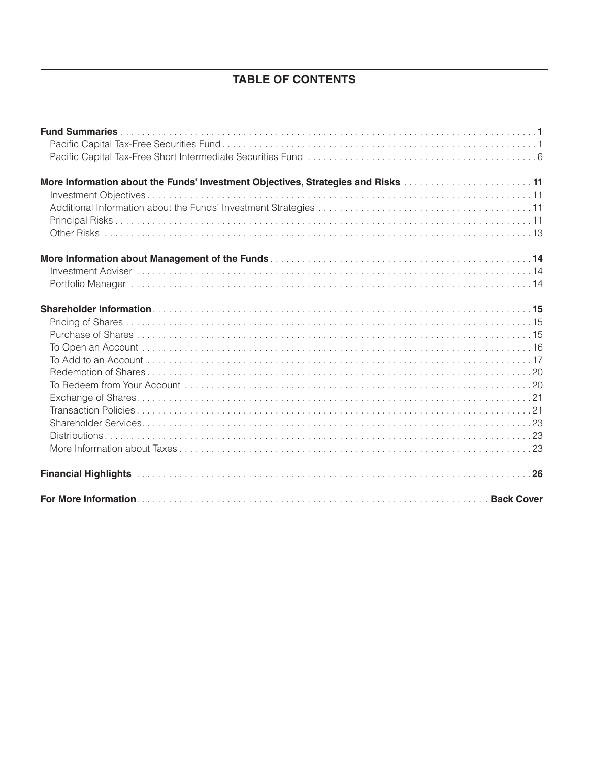## **TABLE OF CONTENTS**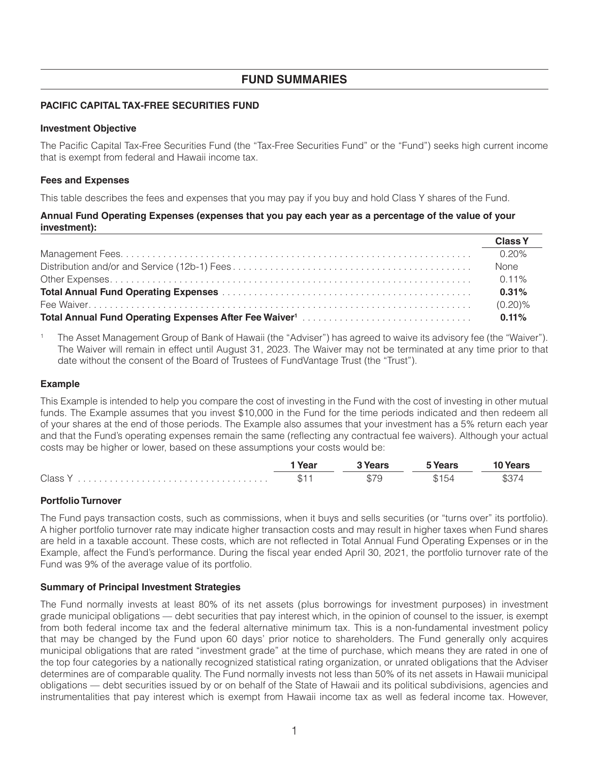## **FUND SUMMARIES**

## **PACIFIC CAPITAL TAX-FREE SECURITIES FUND**

## **Investment Objective**

The Pacific Capital Tax-Free Securities Fund (the "Tax-Free Securities Fund" or the "Fund") seeks high current income that is exempt from federal and Hawaii income tax.

## **Fees and Expenses**

This table describes the fees and expenses that you may pay if you buy and hold Class Y shares of the Fund.

## Annual Fund Operating Expenses (expenses that you pay each year as a percentage of the value of your investment):

|                                                                                                                                                                                                                                      | <b>Class Y</b> |
|--------------------------------------------------------------------------------------------------------------------------------------------------------------------------------------------------------------------------------------|----------------|
|                                                                                                                                                                                                                                      | $0.20\%$       |
|                                                                                                                                                                                                                                      | <b>None</b>    |
|                                                                                                                                                                                                                                      |                |
|                                                                                                                                                                                                                                      | 0.31%          |
|                                                                                                                                                                                                                                      | $(0.20)\%$     |
| <b>Total Annual Fund Operating Expenses After Fee Waiver1 Intermal Construction Construction Construction Constraining Total Annual Construction Construction Construction Construction Construction Construction Construction C</b> | 0.11%          |

 $\mathbf{1}$ The Asset Management Group of Bank of Hawaii (the "Adviser") has agreed to waive its advisory fee (the "Waiver"). The Waiver will remain in effect until August 31, 2023. The Waiver may not be terminated at any time prior to that date without the consent of the Board of Trustees of FundVantage Trust (the "Trust").

## **Example**

This Example is intended to help you compare the cost of investing in the Fund with the cost of investing in other mutual funds. The Example assumes that you invest \$10,000 in the Fund for the time periods indicated and then redeem all of your shares at the end of those periods. The Example also assumes that your investment has a 5% return each year and that the Fund's operating expenses remain the same (reflecting any contractual fee waivers). Although your actual costs may be higher or lower, based on these assumptions your costs would be:

|       | Year             | ----                               |      |
|-------|------------------|------------------------------------|------|
| Class | $\mathbf \Phi$ . | m.<br>$T_{\Delta A}$<br>U).<br>- 7 | \$37 |

## **Portfolio Turnover**

The Fund pays transaction costs, such as commissions, when it buys and sells securities (or "turns over" its portfolio). A higher portfolio turnover rate may indicate higher transaction costs and may result in higher taxes when Fund shares are held in a taxable account. These costs, which are not reflected in Total Annual Fund Operating Expenses or in the Example, affect the Fund's performance. During the fiscal year ended April 30, 2021, the portfolio turnover rate of the Fund was 9% of the average value of its portfolio.

## **Summary of Principal Investment Strategies**

The Fund normally invests at least 80% of its net assets (plus borrowings for investment purposes) in investment grade municipal obligations — debt securities that pay interest which, in the opinion of counsel to the issuer, is exempt from both federal income tax and the federal alternative minimum tax. This is a non-fundamental investment policy that may be changed by the Fund upon 60 days' prior notice to shareholders. The Fund generally only acquires municipal obligations that are rated "investment grade" at the time of purchase, which means they are rated in one of the top four categories by a nationally recognized statistical rating organization, or unrated obligations that the Adviser determines are of comparable quality. The Fund normally invests not less than 50% of its net assets in Hawaii municipal obligations — debt securities issued by or on behalf of the State of Hawaii and its political subdivisions, agencies and instrumentalities that pay interest which is exempt from Hawaii income tax as well as federal income tax. However,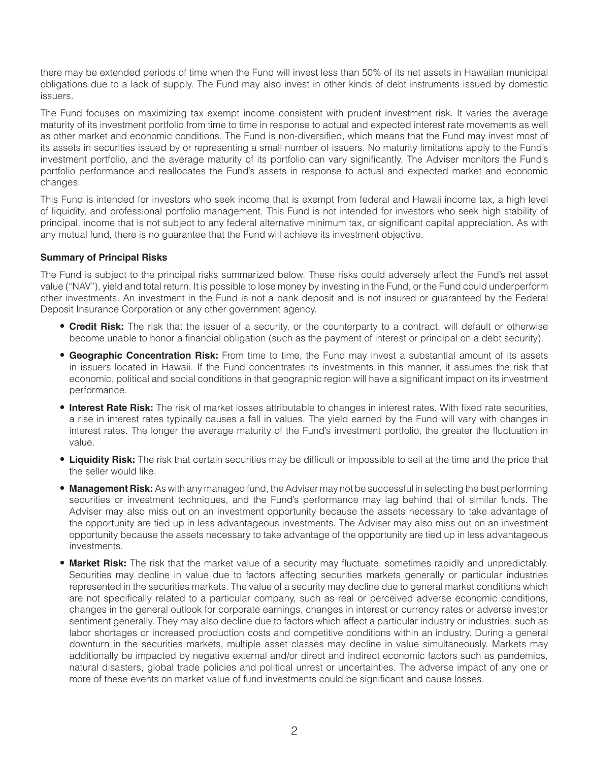there may be extended periods of time when the Fund will invest less than 50% of its net assets in Hawaiian municipal obligations due to a lack of supply. The Fund may also invest in other kinds of debt instruments issued by domestic issuers.

The Fund focuses on maximizing tax exempt income consistent with prudent investment risk. It varies the average maturity of its investment portfolio from time to time in response to actual and expected interest rate movements as well as other market and economic conditions. The Fund is non-diversified, which means that the Fund may invest most of its assets in securities issued by or representing a small number of issuers. No maturity limitations apply to the Fund's investment portfolio, and the average maturity of its portfolio can vary significantly. The Adviser monitors the Fund's portfolio performance and reallocates the Fund's assets in response to actual and expected market and economic changes.

This Fund is intended for investors who seek income that is exempt from federal and Hawaii income tax, a high level of liquidity, and professional portfolio management. This Fund is not intended for investors who seek high stability of principal, income that is not subject to any federal alternative minimum tax, or significant capital appreciation. As with any mutual fund, there is no guarantee that the Fund will achieve its investment objective.

## **Summary of Principal Risks**

The Fund is subject to the principal risks summarized below. These risks could adversely affect the Fund's net asset value ("NAV"), yield and total return. It is possible to lose money by investing in the Fund, or the Fund could underperform other investments. An investment in the Fund is not a bank deposit and is not insured or guaranteed by the Federal Deposit Insurance Corporation or any other government agency.

- **Credit Risk:** The risk that the issuer of a security, or the counterparty to a contract, will default or otherwise become unable to honor a financial obligation (such as the payment of interest or principal on a debt security).
- **Geographic Concentration Risk:** From time to time, the Fund may invest a substantial amount of its assets in issuers located in Hawaii. If the Fund concentrates its investments in this manner, it assumes the risk that economic, political and social conditions in that geographic region will have a significant impact on its investment performance.
- **Interest Rate Risk:** The risk of market losses attributable to changes in interest rates. With fixed rate securities, a rise in interest rates typically causes a fall in values. The yield earned by the Fund will vary with changes in interest rates. The longer the average maturity of the Fund's investment portfolio, the greater the fluctuation in value.
- **Liquidity Risk:** The risk that certain securities may be difficult or impossible to sell at the time and the price that the seller would like.
- **Management Risk:** As with any managed fund, the Adviser may not be successful in selecting the best performing securities or investment techniques, and the Fund's performance may lag behind that of similar funds. The Adviser may also miss out on an investment opportunity because the assets necessary to take advantage of the opportunity are tied up in less advantageous investments. The Adviser may also miss out on an investment opportunity because the assets necessary to take advantage of the opportunity are tied up in less advantageous investments.
- **Market Risk:** The risk that the market value of a security may fluctuate, sometimes rapidly and unpredictably. Securities may decline in value due to factors affecting securities markets generally or particular industries represented in the securities markets. The value of a security may decline due to general market conditions which are not specifically related to a particular company, such as real or perceived adverse economic conditions, changes in the general outlook for corporate earnings, changes in interest or currency rates or adverse investor sentiment generally. They may also decline due to factors which affect a particular industry or industries, such as labor shortages or increased production costs and competitive conditions within an industry. During a general downturn in the securities markets, multiple asset classes may decline in value simultaneously. Markets may additionally be impacted by negative external and/or direct and indirect economic factors such as pandemics, natural disasters, global trade policies and political unrest or uncertainties. The adverse impact of any one or more of these events on market value of fund investments could be significant and cause losses.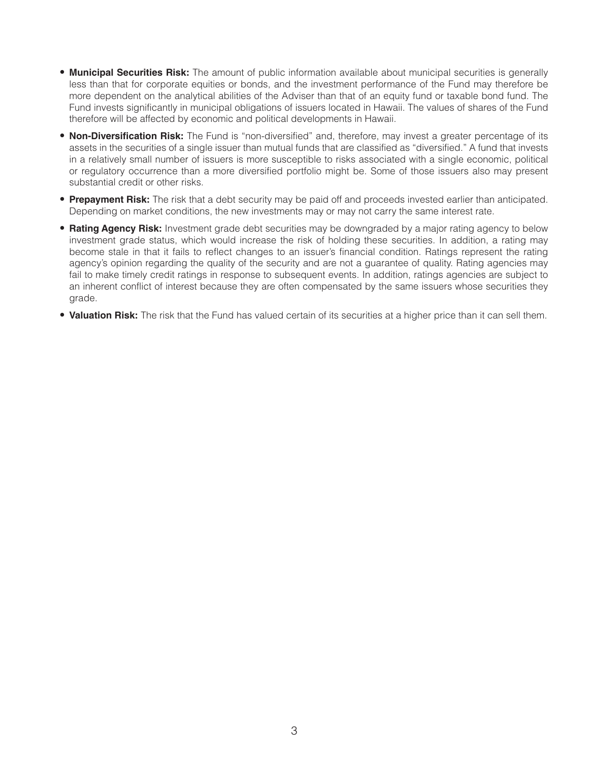- **Municipal Securities Risk:** The amount of public information available about municipal securities is generally less than that for corporate equities or bonds, and the investment performance of the Fund may therefore be more dependent on the analytical abilities of the Adviser than that of an equity fund or taxable bond fund. The Fund invests significantly in municipal obligations of issuers located in Hawaii. The values of shares of the Fund therefore will be affected by economic and political developments in Hawaii.
- **Non-Diversification Risk:** The Fund is "non-diversified" and, therefore, may invest a greater percentage of its assets in the securities of a single issuer than mutual funds that are classified as "diversified." A fund that invests in a relatively small number of issuers is more susceptible to risks associated with a single economic, political or regulatory occurrence than a more diversified portfolio might be. Some of those issuers also may present substantial credit or other risks.
- **Prepayment Risk:** The risk that a debt security may be paid off and proceeds invested earlier than anticipated. Depending on market conditions, the new investments may or may not carry the same interest rate.
- **Rating Agency Risk:** Investment grade debt securities may be downgraded by a major rating agency to below investment grade status, which would increase the risk of holding these securities. In addition, a rating may become stale in that it fails to reflect changes to an issuer's financial condition. Ratings represent the rating agency's opinion regarding the quality of the security and are not a guarantee of quality. Rating agencies may fail to make timely credit ratings in response to subsequent events. In addition, ratings agencies are subject to an inherent conflict of interest because they are often compensated by the same issuers whose securities they grade.
- **Valuation Risk:** The risk that the Fund has valued certain of its securities at a higher price than it can sell them.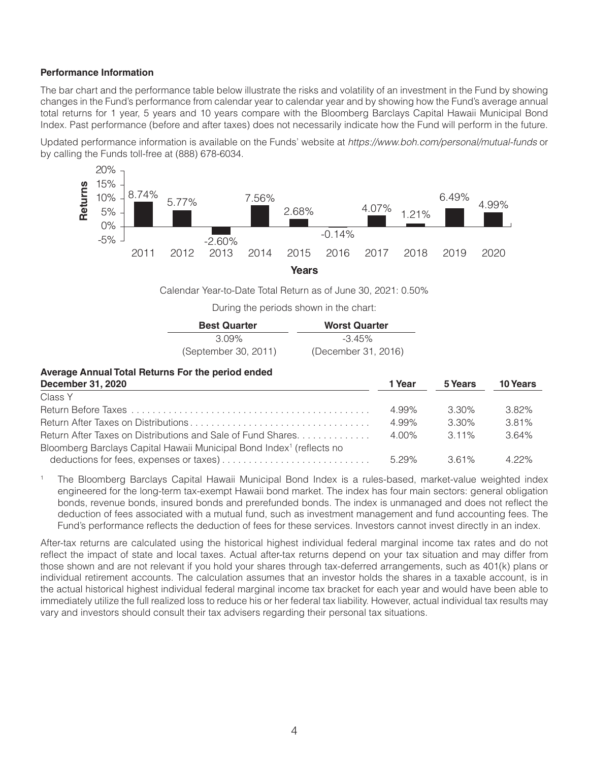## **Performance Information**

The bar chart and the performance table below illustrate the risks and volatility of an investment in the Fund by showing changes in the Fund's performance from calendar year to calendar year and by showing how the Fund's average annual total returns for 1 year, 5 years and 10 years compare with the Bloomberg Barclays Capital Hawaii Municipal Bond Index. Past performance (before and after taxes) does not necessarily indicate how the Fund will perform in the future.

Updated performance information is available on the Funds' website at https://www.boh.com/personal/mutual-funds or by calling the Funds toll-free at (888) 678-6034.



Calendar Year-to-Date Total Return as of June 30, 2021: 0.50%

During the periods shown in the chart:

| <b>Best Quarter</b>  | <b>Worst Quarter</b> |
|----------------------|----------------------|
| 3.09%                | $-3.45\%$            |
| (September 30, 2011) | (December 31, 2016)  |

1 Voor

5 Voars

10 Vears

#### Average Annual Total Returns For the period ended December 31 2020

| <b>DUULIINUI UI, LULU</b>                                                        | .     | v ivulo  | ניווטיו טו |
|----------------------------------------------------------------------------------|-------|----------|------------|
| Class Y                                                                          |       |          |            |
|                                                                                  | 4.99% | $3.30\%$ | 3.82%      |
|                                                                                  | 4.99% | 3.30%    | 381%       |
| Return After Taxes on Distributions and Sale of Fund Shares                      | 4 በበ% | $311\%$  | 3.64%      |
| Bloomberg Barclays Capital Hawaii Municipal Bond Index <sup>1</sup> (reflects no |       |          |            |
|                                                                                  | 5.29% | 3.61%    | $4.22\%$   |

 $\uparrow$ The Bloomberg Barclays Capital Hawaii Municipal Bond Index is a rules-based, market-value weighted index engineered for the long-term tax-exempt Hawaii bond market. The index has four main sectors: general obligation bonds, revenue bonds, insured bonds and prerefunded bonds. The index is unmanaged and does not reflect the deduction of fees associated with a mutual fund, such as investment management and fund accounting fees. The Fund's performance reflects the deduction of fees for these services. Investors cannot invest directly in an index.

After-tax returns are calculated using the historical highest individual federal marginal income tax rates and do not reflect the impact of state and local taxes. Actual after-tax returns depend on your tax situation and may differ from those shown and are not relevant if you hold your shares through tax-deferred arrangements, such as 401(k) plans or individual retirement accounts. The calculation assumes that an investor holds the shares in a taxable account, is in the actual historical highest individual federal marginal income tax bracket for each year and would have been able to immediately utilize the full realized loss to reduce his or her federal tax liability. However, actual individual tax results may vary and investors should consult their tax advisers regarding their personal tax situations.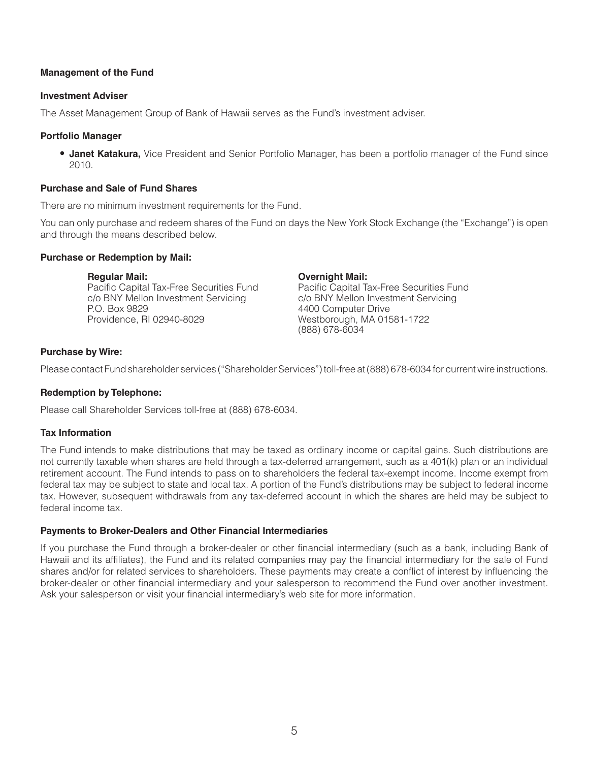## **Management of the Fund**

#### **Investment Adviser**

The Asset Management Group of Bank of Hawaii serves as the Fund's investment adviser.

## **Portfolio Manager**

• **Janet Katakura,** Vice President and Senior Portfolio Manager, has been a portfolio manager of the Fund since 2010.

## **Purchase and Sale of Fund Shares**

There are no minimum investment requirements for the Fund.

You can only purchase and redeem shares of the Fund on days the New York Stock Exchange (the "Exchange") is open and through the means described below.

## **Purchase or Redemption by Mail:**

#### **Regular Mail:**

Pacific Capital Tax-Free Securities Fund c/o BNY Mellon Investment Servicing P.O. Box 9829 Providence, RI 02940-8029

## **Overnight Mail:**

Pacific Capital Tax-Free Securities Fund c/o BNY Mellon Investment Servicing 4400 Computer Drive Westborough, MA 01581-1722 (888) 678-6034

## **Purchase by Wire:**

Please contact Fund shareholder services ("Shareholder Services") toll-free at (888) 678-6034 for current wire instructions.

## **Redemption by Telephone:**

Please call Shareholder Services toll-free at (888) 678-6034.

## **Tax Information**

The Fund intends to make distributions that may be taxed as ordinary income or capital gains. Such distributions are not currently taxable when shares are held through a tax-deferred arrangement, such as a 401(k) plan or an individual retirement account. The Fund intends to pass on to shareholders the federal tax-exempt income. Income exempt from federal tax may be subject to state and local tax. A portion of the Fund's distributions may be subject to federal income tax. However, subsequent withdrawals from any tax-deferred account in which the shares are held may be subject to federal income tax.

## **Payments to Broker-Dealers and Other Financial Intermediaries**

If you purchase the Fund through a broker-dealer or other financial intermediary (such as a bank, including Bank of Hawaii and its affiliates), the Fund and its related companies may pay the financial intermediary for the sale of Fund shares and/or for related services to shareholders. These payments may create a conflict of interest by influencing the broker-dealer or other financial intermediary and your salesperson to recommend the Fund over another investment. Ask your salesperson or visit your financial intermediary's web site for more information.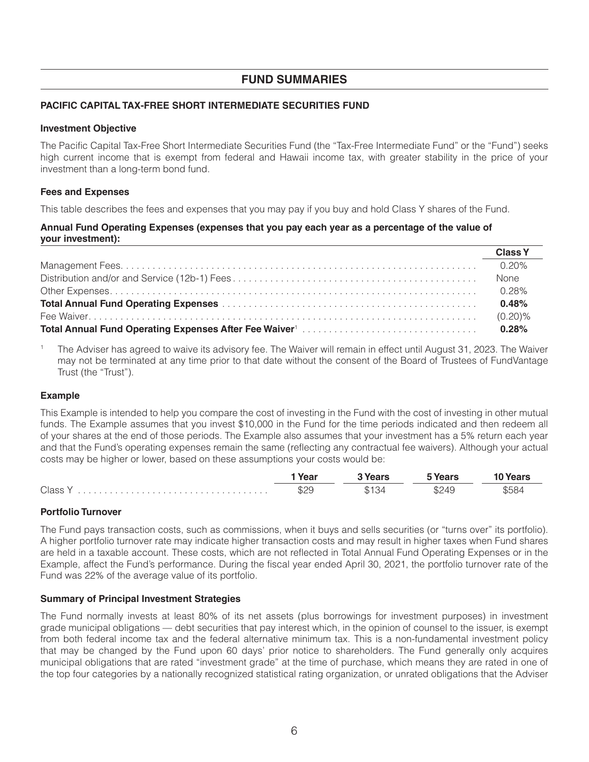## **FUND SUMMARIES**

## PACIFIC CAPITAL TAX-FREE SHORT INTERMEDIATE SECURITIES FUND

## **Investment Objective**

The Pacific Capital Tax-Free Short Intermediate Securities Fund (the "Tax-Free Intermediate Fund" or the "Fund") seeks high current income that is exempt from federal and Hawaii income tax, with greater stability in the price of your investment than a long-term bond fund.

## **Fees and Expenses**

This table describes the fees and expenses that you may pay if you buy and hold Class Y shares of the Fund.

## Annual Fund Operating Expenses (expenses that you pay each year as a percentage of the value of your investment):

| <b>Class Y</b> |
|----------------|
| <u>በ 20% </u>  |
| None           |
|                |
| 0.48%          |
|                |
| 0.28%          |

The Adviser has agreed to waive its advisory fee. The Waiver will remain in effect until August 31, 2023. The Waiver may not be terminated at any time prior to that date without the consent of the Board of Trustees of FundVantage Trust (the "Trust").

## **Example**

This Example is intended to help you compare the cost of investing in the Fund with the cost of investing in other mutual funds. The Example assumes that you invest \$10,000 in the Fund for the time periods indicated and then redeem all of your shares at the end of those periods. The Example also assumes that your investment has a 5% return each year and that the Fund's operating expenses remain the same (reflecting any contractual fee waivers). Although your actual costs may be higher or lower, based on these assumptions your costs would be:

|         | ' Year | 3 Years | 5 Years | <b>10 Years</b> |
|---------|--------|---------|---------|-----------------|
| Class Y | \$29   | \$134   | \$249   | \$584           |

## **Portfolio Turnover**

The Fund pays transaction costs, such as commissions, when it buys and sells securities (or "turns over" its portfolio). A higher portfolio turnover rate may indicate higher transaction costs and may result in higher taxes when Fund shares are held in a taxable account. These costs, which are not reflected in Total Annual Fund Operating Expenses or in the Example, affect the Fund's performance. During the fiscal year ended April 30, 2021, the portfolio turnover rate of the Fund was 22% of the average value of its portfolio.

## **Summary of Principal Investment Strategies**

The Fund normally invests at least 80% of its net assets (plus borrowings for investment purposes) in investment grade municipal obligations - debt securities that pay interest which, in the opinion of counsel to the issuer, is exempt from both federal income tax and the federal alternative minimum tax. This is a non-fundamental investment policy that may be changed by the Fund upon 60 days' prior notice to shareholders. The Fund generally only acquires municipal obligations that are rated "investment grade" at the time of purchase, which means they are rated in one of the top four categories by a nationally recognized statistical rating organization, or unrated obligations that the Adviser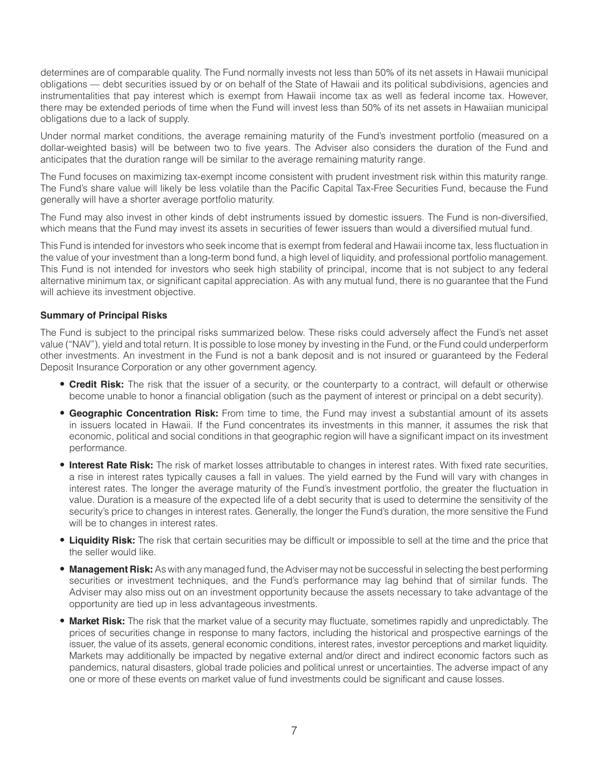determines are of comparable quality. The Fund normally invests not less than 50% of its net assets in Hawaii municipal obligations — debt securities issued by or on behalf of the State of Hawaii and its political subdivisions, agencies and instrumentalities that pay interest which is exempt from Hawaii income tax as well as federal income tax. However, there may be extended periods of time when the Fund will invest less than 50% of its net assets in Hawaiian municipal obligations due to a lack of supply.

Under normal market conditions, the average remaining maturity of the Fund's investment portfolio (measured on a dollar-weighted basis) will be between two to five years. The Adviser also considers the duration of the Fund and anticipates that the duration range will be similar to the average remaining maturity range.

The Fund focuses on maximizing tax-exempt income consistent with prudent investment risk within this maturity range. The Fund's share value will likely be less volatile than the Pacific Capital Tax-Free Securities Fund, because the Fund generally will have a shorter average portfolio maturity.

The Fund may also invest in other kinds of debt instruments issued by domestic issuers. The Fund is non-diversified, which means that the Fund may invest its assets in securities of fewer issuers than would a diversified mutual fund.

This Fund is intended for investors who seek income that is exempt from federal and Hawaii income tax, less fluctuation in the value of your investment than a long-term bond fund, a high level of liquidity, and professional portfolio management. This Fund is not intended for investors who seek high stability of principal, income that is not subject to any federal alternative minimum tax, or significant capital appreciation. As with any mutual fund, there is no guarantee that the Fund will achieve its investment objective.

## **Summary of Principal Risks**

The Fund is subject to the principal risks summarized below. These risks could adversely affect the Fund's net asset value ("NAV"), yield and total return. It is possible to lose money by investing in the Fund, or the Fund could underperform other investments. An investment in the Fund is not a bank deposit and is not insured or guaranteed by the Federal Deposit Insurance Corporation or any other government agency.

- **Credit Risk:** The risk that the issuer of a security, or the counterparty to a contract, will default or otherwise become unable to honor a financial obligation (such as the payment of interest or principal on a debt security).
- **Geographic Concentration Risk:** From time to time, the Fund may invest a substantial amount of its assets in issuers located in Hawaii. If the Fund concentrates its investments in this manner, it assumes the risk that economic, political and social conditions in that geographic region will have a significant impact on its investment performance.
- **Interest Rate Risk:** The risk of market losses attributable to changes in interest rates. With fixed rate securities, a rise in interest rates typically causes a fall in values. The yield earned by the Fund will vary with changes in interest rates. The longer the average maturity of the Fund's investment portfolio, the greater the fluctuation in value. Duration is a measure of the expected life of a debt security that is used to determine the sensitivity of the security's price to changes in interest rates. Generally, the longer the Fund's duration, the more sensitive the Fund will be to changes in interest rates.
- **Liquidity Risk:** The risk that certain securities may be difficult or impossible to sell at the time and the price that the seller would like.
- **Management Risk:** As with any managed fund, the Adviser may not be successful in selecting the best performing securities or investment techniques, and the Fund's performance may lag behind that of similar funds. The Adviser may also miss out on an investment opportunity because the assets necessary to take advantage of the opportunity are tied up in less advantageous investments.
- **Market Risk:** The risk that the market value of a security may fluctuate, sometimes rapidly and unpredictably. The prices of securities change in response to many factors, including the historical and prospective earnings of the issuer, the value of its assets, general economic conditions, interest rates, investor perceptions and market liquidity. Markets may additionally be impacted by negative external and/or direct and indirect economic factors such as pandemics, natural disasters, global trade policies and political unrest or uncertainties. The adverse impact of any one or more of these events on market value of fund investments could be significant and cause losses.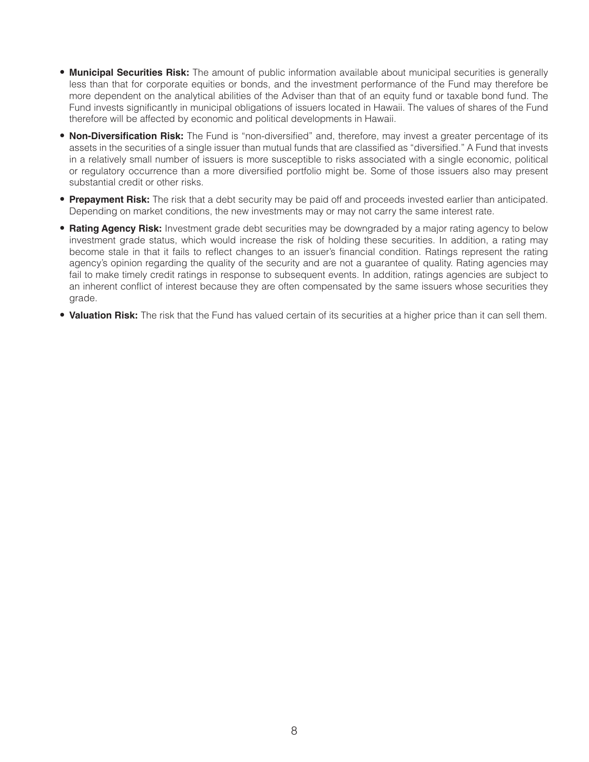- **Municipal Securities Risk:** The amount of public information available about municipal securities is generally less than that for corporate equities or bonds, and the investment performance of the Fund may therefore be more dependent on the analytical abilities of the Adviser than that of an equity fund or taxable bond fund. The Fund invests significantly in municipal obligations of issuers located in Hawaii. The values of shares of the Fund therefore will be affected by economic and political developments in Hawaii.
- **Non-Diversification Risk:** The Fund is "non-diversified" and, therefore, may invest a greater percentage of its assets in the securities of a single issuer than mutual funds that are classified as "diversified." A Fund that invests in a relatively small number of issuers is more susceptible to risks associated with a single economic, political or regulatory occurrence than a more diversified portfolio might be. Some of those issuers also may present substantial credit or other risks.
- **Prepayment Risk:** The risk that a debt security may be paid off and proceeds invested earlier than anticipated. Depending on market conditions, the new investments may or may not carry the same interest rate.
- **Rating Agency Risk:** Investment grade debt securities may be downgraded by a major rating agency to below investment grade status, which would increase the risk of holding these securities. In addition, a rating may become stale in that it fails to reflect changes to an issuer's financial condition. Ratings represent the rating agency's opinion regarding the quality of the security and are not a guarantee of quality. Rating agencies may fail to make timely credit ratings in response to subsequent events. In addition, ratings agencies are subject to an inherent conflict of interest because they are often compensated by the same issuers whose securities they grade.
- **Valuation Risk:** The risk that the Fund has valued certain of its securities at a higher price than it can sell them.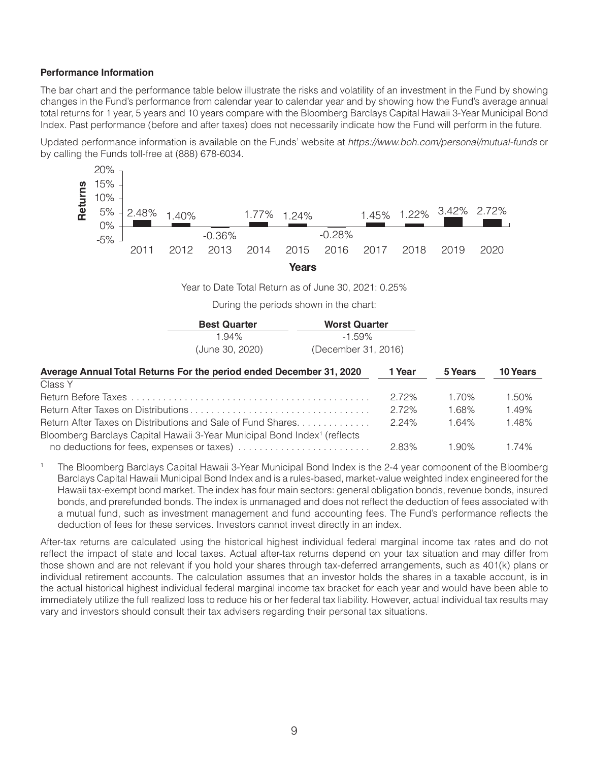## **Performance Information**

The bar chart and the performance table below illustrate the risks and volatility of an investment in the Fund by showing changes in the Fund's performance from calendar year to calendar year and by showing how the Fund's average annual total returns for 1 year, 5 years and 10 years compare with the Bloomberg Barclays Capital Hawaii 3-Year Municipal Bond Index. Past performance (before and after taxes) does not necessarily indicate how the Fund will perform in the future.

Updated performance information is available on the Funds' website at https://www.boh.com/personal/mutual-funds or by calling the Funds toll-free at (888) 678-6034.



Year to Date Total Return as of June 30, 2021: 0.25%

During the periods shown in the chart:

| <b>Best Quarter</b> | <b>Worst Quarter</b> |  |  |
|---------------------|----------------------|--|--|
| $1.94\%$            | $-1.59\%$            |  |  |
| (June 30, 2020)     | (December 31, 2016)  |  |  |

| Average Annual Total Returns For the period ended December 31, 2020                  | 1 Year   | 5 Years  | <b>10 Years</b> |
|--------------------------------------------------------------------------------------|----------|----------|-----------------|
| Class Y                                                                              |          |          |                 |
|                                                                                      | 272%     | $1.70\%$ | 1.50%           |
|                                                                                      | 272%     | 1.68%    | 1.49%           |
| Return After Taxes on Distributions and Sale of Fund Shares                          | 224%     | 164%     | 1.48%           |
| Bloomberg Barclays Capital Hawaii 3-Year Municipal Bond Index <sup>1</sup> (reflects |          |          |                 |
|                                                                                      | $2.83\%$ | 1.90%    | 1 74%           |

The Bloomberg Barclays Capital Hawaii 3-Year Municipal Bond Index is the 2-4 year component of the Bloomberg Barclays Capital Hawaii Municipal Bond Index and is a rules-based, market-value weighted index engineered for the Hawaii tax-exempt bond market. The index has four main sectors: general obligation bonds, revenue bonds, insured bonds, and prerefunded bonds. The index is unmanaged and does not reflect the deduction of fees associated with a mutual fund, such as investment management and fund accounting fees. The Fund's performance reflects the deduction of fees for these services. Investors cannot invest directly in an index.

After-tax returns are calculated using the historical highest individual federal marginal income tax rates and do not reflect the impact of state and local taxes. Actual after-tax returns depend on your tax situation and may differ from those shown and are not relevant if you hold your shares through tax-deferred arrangements, such as 401(k) plans or individual retirement accounts. The calculation assumes that an investor holds the shares in a taxable account, is in the actual historical highest individual federal marginal income tax bracket for each year and would have been able to immediately utilize the full realized loss to reduce his or her federal tax liability. However, actual individual tax results may vary and investors should consult their tax advisers regarding their personal tax situations.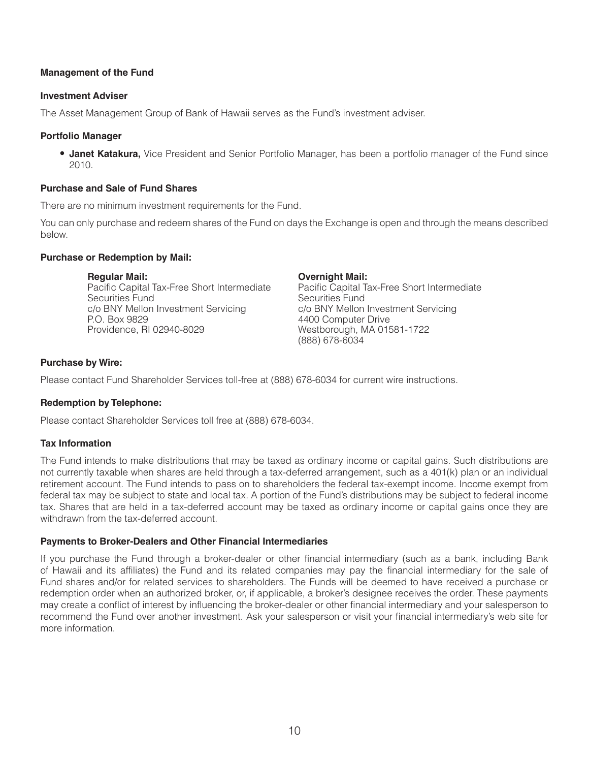## **Management of the Fund**

## **Investment Adviser**

The Asset Management Group of Bank of Hawaii serves as the Fund's investment adviser.

## **Portfolio Manager**

• **Janet Katakura,** Vice President and Senior Portfolio Manager, has been a portfolio manager of the Fund since 2010.

## **Purchase and Sale of Fund Shares**

There are no minimum investment requirements for the Fund.

You can only purchase and redeem shares of the Fund on days the Exchange is open and through the means described below.

## **Purchase or Redemption by Mail:**

#### **Regular Mail:**

Pacific Capital Tax-Free Short Intermediate Securities Fund c/o BNY Mellon Investment Servicing P.O. Box 9829 Providence, RI 02940-8029

## **Overnight Mail:**

Pacific Capital Tax-Free Short Intermediate Securities Fund c/o BNY Mellon Investment Servicing 4400 Computer Drive Westborough, MA 01581-1722 (888) 678-6034

## **Purchase by Wire:**

Please contact Fund Shareholder Services toll-free at (888) 678-6034 for current wire instructions.

## **Redemption by Telephone:**

Please contact Shareholder Services toll free at (888) 678-6034.

## **Tax Information**

The Fund intends to make distributions that may be taxed as ordinary income or capital gains. Such distributions are not currently taxable when shares are held through a tax-deferred arrangement, such as a 401(k) plan or an individual retirement account. The Fund intends to pass on to shareholders the federal tax-exempt income. Income exempt from federal tax may be subject to state and local tax. A portion of the Fund's distributions may be subject to federal income tax. Shares that are held in a tax-deferred account may be taxed as ordinary income or capital gains once they are withdrawn from the tax-deferred account.

## **Payments to Broker-Dealers and Other Financial Intermediaries**

If you purchase the Fund through a broker-dealer or other financial intermediary (such as a bank, including Bank of Hawaii and its affiliates) the Fund and its related companies may pay the financial intermediary for the sale of Fund shares and/or for related services to shareholders. The Funds will be deemed to have received a purchase or redemption order when an authorized broker, or, if applicable, a broker's designee receives the order. These payments may create a conflict of interest by influencing the broker-dealer or other financial intermediary and your salesperson to recommend the Fund over another investment. Ask your salesperson or visit your financial intermediary's web site for more information.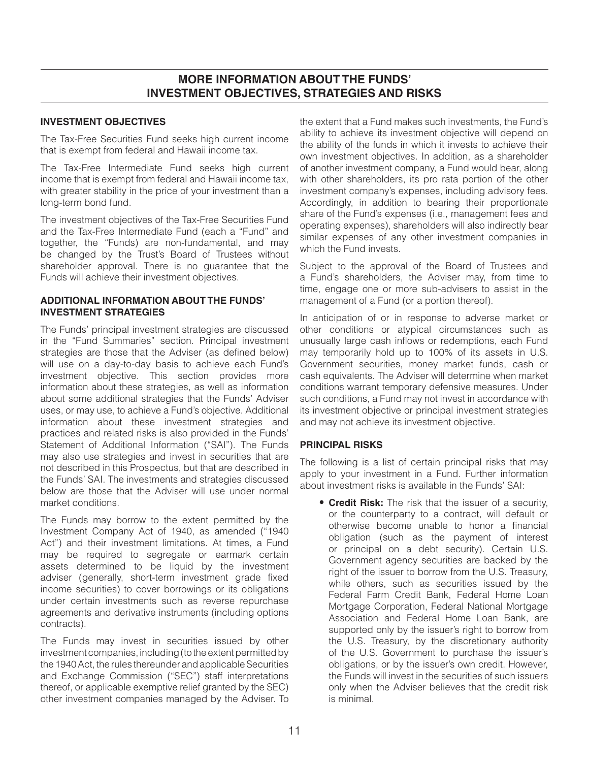## **MORE INFORMATION ABOUT THE FUNDS' INVESTMENT OBJECTIVES, STRATEGIES AND RISKS**

## **INVESTMENT OBJECTIVES**

The Tax-Free Securities Fund seeks high current income that is exempt from federal and Hawaii income tax.

The Tax-Free Intermediate Fund seeks high current income that is exempt from federal and Hawaii income tax, with greater stability in the price of your investment than a long-term bond fund.

The investment objectives of the Tax-Free Securities Fund and the Tax-Free Intermediate Fund (each a "Fund" and together, the "Funds) are non-fundamental, and may be changed by the Trust's Board of Trustees without shareholder approval. There is no guarantee that the Funds will achieve their investment objectives.

## **ADDITIONAL INFORMATION ABOUT THE FUNDS' INVESTMENT STRATEGIES**

The Funds' principal investment strategies are discussed in the "Fund Summaries" section. Principal investment strategies are those that the Adviser (as defined below) will use on a day-to-day basis to achieve each Fund's investment objective. This section provides more information about these strategies, as well as information about some additional strategies that the Funds' Adviser uses, or may use, to achieve a Fund's objective. Additional information about these investment strategies and practices and related risks is also provided in the Funds' Statement of Additional Information ("SAI"). The Funds may also use strategies and invest in securities that are not described in this Prospectus, but that are described in the Funds' SAI. The investments and strategies discussed below are those that the Adviser will use under normal market conditions.

The Funds may borrow to the extent permitted by the Investment Company Act of 1940, as amended ("1940 Act") and their investment limitations. At times, a Fund may be required to segregate or earmark certain assets determined to be liquid by the investment adviser (generally, short-term investment grade fixed income securities) to cover borrowings or its obligations under certain investments such as reverse repurchase agreements and derivative instruments (including options contracts).

The Funds may invest in securities issued by other investment companies, including (to the extent permitted by the 1940 Act, the rules thereunder and applicable Securities and Exchange Commission ("SEC") staff interpretations thereof, or applicable exemptive relief granted by the SEC) other investment companies managed by the Adviser. To

the extent that a Fund makes such investments, the Fund's ability to achieve its investment objective will depend on the ability of the funds in which it invests to achieve their own investment objectives. In addition, as a shareholder of another investment company, a Fund would bear, along with other shareholders, its pro rata portion of the other investment company's expenses, including advisory fees. Accordingly, in addition to bearing their proportionate share of the Fund's expenses (i.e., management fees and operating expenses), shareholders will also indirectly bear similar expenses of any other investment companies in which the Fund invests.

Subject to the approval of the Board of Trustees and a Fund's shareholders, the Adviser may, from time to time, engage one or more sub-advisers to assist in the management of a Fund (or a portion thereof).

In anticipation of or in response to adverse market or other conditions or atypical circumstances such as unusually large cash inflows or redemptions, each Fund may temporarily hold up to 100% of its assets in U.S. Government securities, money market funds, cash or cash equivalents. The Adviser will determine when market conditions warrant temporary defensive measures. Under such conditions, a Fund may not invest in accordance with its investment objective or principal investment strategies and may not achieve its investment objective.

## **PRINCIPAL RISKS**

The following is a list of certain principal risks that may apply to your investment in a Fund. Further information about investment risks is available in the Funds' SAI:

• **Credit Risk:** The risk that the issuer of a security, or the counterparty to a contract, will default or otherwise become unable to honor a financial obligation (such as the payment of interest or principal on a debt security). Certain U.S. Government agency securities are backed by the right of the issuer to borrow from the U.S. Treasury, while others, such as securities issued by the Federal Farm Credit Bank, Federal Home Loan Mortgage Corporation, Federal National Mortgage Association and Federal Home Loan Bank, are supported only by the issuer's right to borrow from the U.S. Treasury, by the discretionary authority of the U.S. Government to purchase the issuer's obligations, or by the issuer's own credit. However, the Funds will invest in the securities of such issuers only when the Adviser believes that the credit risk is minimal.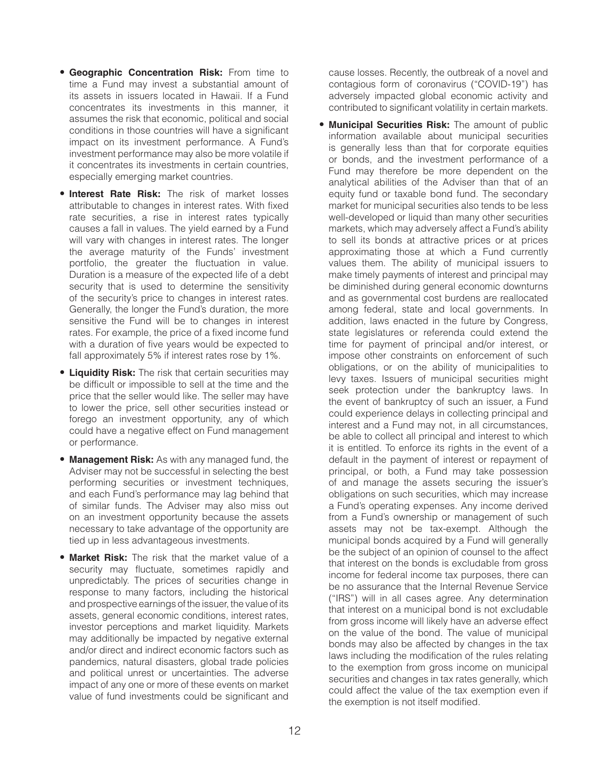- **Geographic Concentration Risk:** From time to time a Fund may invest a substantial amount of its assets in issuers located in Hawaii. If a Fund concentrates its investments in this manner, it assumes the risk that economic, political and social conditions in those countries will have a significant impact on its investment performance. A Fund's investment performance may also be more volatile if it concentrates its investments in certain countries, especially emerging market countries.
- **Interest Rate Risk:** The risk of market losses attributable to changes in interest rates. With fixed rate securities, a rise in interest rates typically causes a fall in values. The yield earned by a Fund will vary with changes in interest rates. The longer the average maturity of the Funds' investment portfolio, the greater the fluctuation in value. Duration is a measure of the expected life of a debt security that is used to determine the sensitivity of the security's price to changes in interest rates. Generally, the longer the Fund's duration, the more sensitive the Fund will be to changes in interest rates. For example, the price of a fixed income fund with a duration of five years would be expected to fall approximately 5% if interest rates rose by 1%.
- **Liquidity Risk:** The risk that certain securities may be difficult or impossible to sell at the time and the price that the seller would like. The seller may have to lower the price, sell other securities instead or forego an investment opportunity, any of which could have a negative effect on Fund management or performance.
- **Management Risk:** As with any managed fund, the Adviser may not be successful in selecting the best performing securities or investment techniques, and each Fund's performance may lag behind that of similar funds. The Adviser may also miss out on an investment opportunity because the assets necessary to take advantage of the opportunity are tied up in less advantageous investments.
- **Market Risk:** The risk that the market value of a security may fluctuate, sometimes rapidly and unpredictably. The prices of securities change in response to many factors, including the historical and prospective earnings of the issuer, the value of its assets, general economic conditions, interest rates, investor perceptions and market liquidity. Markets may additionally be impacted by negative external and/or direct and indirect economic factors such as pandemics, natural disasters, global trade policies and political unrest or uncertainties. The adverse impact of any one or more of these events on market value of fund investments could be significant and

cause losses. Recently, the outbreak of a novel and contagious form of coronavirus ("COVID-19") has adversely impacted global economic activity and contributed to significant volatility in certain markets.

• **Municipal Securities Risk:** The amount of public information available about municipal securities is generally less than that for corporate equities or bonds, and the investment performance of a Fund may therefore be more dependent on the analytical abilities of the Adviser than that of an equity fund or taxable bond fund. The secondary market for municipal securities also tends to be less well-developed or liquid than many other securities markets, which may adversely affect a Fund's ability to sell its bonds at attractive prices or at prices approximating those at which a Fund currently values them. The ability of municipal issuers to make timely payments of interest and principal may be diminished during general economic downturns and as governmental cost burdens are reallocated among federal, state and local governments. In addition, laws enacted in the future by Congress, state legislatures or referenda could extend the time for payment of principal and/or interest, or impose other constraints on enforcement of such obligations, or on the ability of municipalities to levy taxes. Issuers of municipal securities might seek protection under the bankruptcy laws. In the event of bankruptcy of such an issuer, a Fund could experience delays in collecting principal and interest and a Fund may not, in all circumstances, be able to collect all principal and interest to which it is entitled. To enforce its rights in the event of a default in the payment of interest or repayment of principal, or both, a Fund may take possession of and manage the assets securing the issuer's obligations on such securities, which may increase a Fund's operating expenses. Any income derived from a Fund's ownership or management of such assets may not be tax-exempt. Although the municipal bonds acquired by a Fund will generally be the subject of an opinion of counsel to the affect that interest on the bonds is excludable from gross income for federal income tax purposes, there can be no assurance that the Internal Revenue Service ("IRS") will in all cases agree. Any determination that interest on a municipal bond is not excludable from gross income will likely have an adverse effect on the value of the bond. The value of municipal bonds may also be affected by changes in the tax laws including the modification of the rules relating to the exemption from gross income on municipal securities and changes in tax rates generally, which could affect the value of the tax exemption even if the exemption is not itself modified.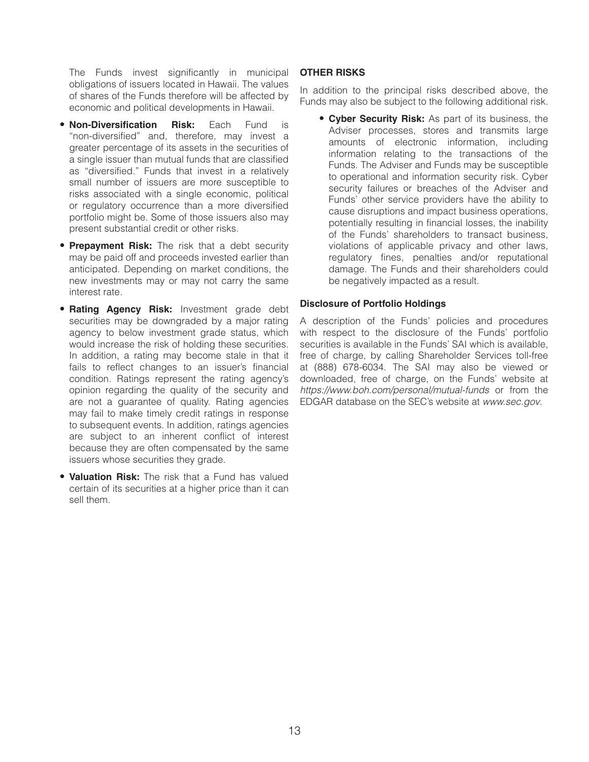The Funds invest significantly in municipal obligations of issuers located in Hawaii. The values of shares of the Funds therefore will be affected by economic and political developments in Hawaii.

- **Non-Diversification Risk:** Each Fund is "non-diversified" and, therefore, may invest a greater percentage of its assets in the securities of a single issuer than mutual funds that are classified as "diversified." Funds that invest in a relatively small number of issuers are more susceptible to risks associated with a single economic, political or regulatory occurrence than a more diversified portfolio might be. Some of those issuers also may present substantial credit or other risks.
- **Prepayment Risk:** The risk that a debt security may be paid off and proceeds invested earlier than anticipated. Depending on market conditions, the new investments may or may not carry the same interest rate.
- **Rating Agency Risk:** Investment grade debt securities may be downgraded by a major rating agency to below investment grade status, which would increase the risk of holding these securities. In addition, a rating may become stale in that it fails to reflect changes to an issuer's financial condition. Ratings represent the rating agency's opinion regarding the quality of the security and are not a guarantee of quality. Rating agencies may fail to make timely credit ratings in response to subsequent events. In addition, ratings agencies are subject to an inherent conflict of interest because they are often compensated by the same issuers whose securities they grade.
- **Valuation Risk:** The risk that a Fund has valued certain of its securities at a higher price than it can sell them.

## **OTHER RISKS**

In addition to the principal risks described above, the Funds may also be subject to the following additional risk.

• **Cyber Security Risk:** As part of its business, the Adviser processes, stores and transmits large amounts of electronic information, including information relating to the transactions of the Funds. The Adviser and Funds may be susceptible to operational and information security risk. Cyber security failures or breaches of the Adviser and Funds' other service providers have the ability to cause disruptions and impact business operations, potentially resulting in financial losses, the inability of the Funds' shareholders to transact business, violations of applicable privacy and other laws, regulatory fines, penalties and/or reputational damage. The Funds and their shareholders could be negatively impacted as a result.

## **Disclosure of Portfolio Holdings**

A description of the Funds' policies and procedures with respect to the disclosure of the Funds' portfolio securities is available in the Funds' SAI which is available, free of charge, by calling Shareholder Services toll-free at (888) 678-6034. The SAI may also be viewed or downloaded, free of charge, on the Funds' website at *https://www.boh.com/personal/mutual-funds* or from the EDGAR database on the SEC's website at *www.sec.gov*.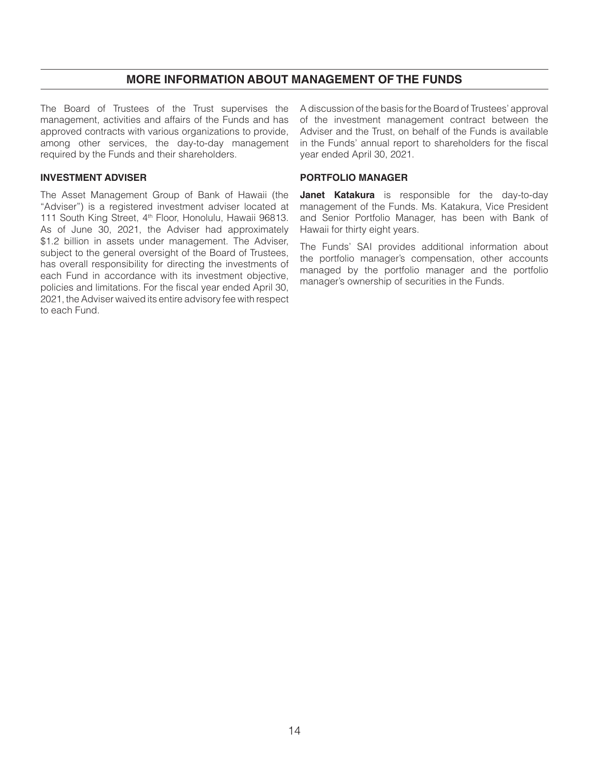## **MORE INFORMATION ABOUT MANAGEMENT OF THE FUNDS**

The Board of Trustees of the Trust supervises the management, activities and affairs of the Funds and has approved contracts with various organizations to provide, among other services, the day-to-day management required by the Funds and their shareholders.

## **INVESTMENT ADVISER**

The Asset Management Group of Bank of Hawaii (the "Adviser") is a registered investment adviser located at 111 South King Street, 4th Floor, Honolulu, Hawaii 96813. As of June 30, 2021, the Adviser had approximately \$1.2 billion in assets under management. The Adviser, subject to the general oversight of the Board of Trustees, has overall responsibility for directing the investments of each Fund in accordance with its investment objective, policies and limitations. For the fiscal year ended April 30, 2021, the Adviser waived its entire advisory fee with respect to each Fund.

A discussion of the basis for the Board of Trustees' approval of the investment management contract between the Adviser and the Trust, on behalf of the Funds is available in the Funds' annual report to shareholders for the fiscal year ended April 30, 2021.

## **PORTFOLIO MANAGER**

**Janet Katakura** is responsible for the day-to-day management of the Funds. Ms. Katakura, Vice President and Senior Portfolio Manager, has been with Bank of Hawaii for thirty eight years.

The Funds' SAI provides additional information about the portfolio manager's compensation, other accounts managed by the portfolio manager and the portfolio manager's ownership of securities in the Funds.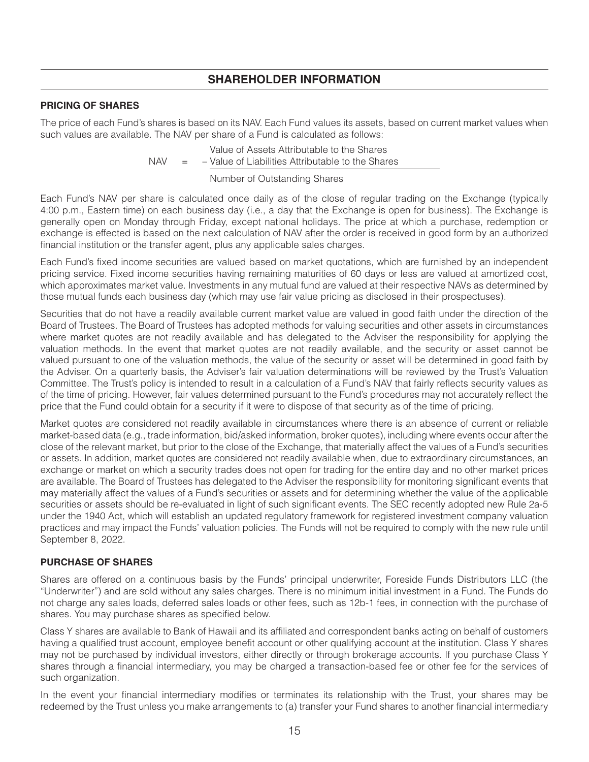## **SHAREHOLDER INFORMATION**

## **PRICING OF SHARES**

The price of each Fund's shares is based on its NAV. Each Fund values its assets, based on current market values when such values are available. The NAV per share of a Fund is calculated as follows:

> $NAV$ Value of Assets Attributable to the Shares - Value of Liabilities Attributable to the Shares

> > Number of Outstanding Shares

Each Fund's NAV per share is calculated once daily as of the close of regular trading on the Exchange (typically 4:00 p.m., Eastern time) on each business day (i.e., a day that the Exchange is open for business). The Exchange is generally open on Monday through Friday, except national holidays. The price at which a purchase, redemption or exchange is effected is based on the next calculation of NAV after the order is received in good form by an authorized financial institution or the transfer agent, plus any applicable sales charges.

Each Fund's fixed income securities are valued based on market quotations, which are furnished by an independent pricing service. Fixed income securities having remaining maturities of 60 days or less are valued at amortized cost, which approximates market value. Investments in any mutual fund are valued at their respective NAVs as determined by those mutual funds each business day (which may use fair value pricing as disclosed in their prospectuses).

Securities that do not have a readily available current market value are valued in good faith under the direction of the Board of Trustees. The Board of Trustees has adopted methods for valuing securities and other assets in circumstances where market quotes are not readily available and has delegated to the Adviser the responsibility for applying the valuation methods. In the event that market quotes are not readily available, and the security or asset cannot be valued pursuant to one of the valuation methods, the value of the security or asset will be determined in good faith by the Adviser. On a quarterly basis, the Adviser's fair valuation determinations will be reviewed by the Trust's Valuation Committee. The Trust's policy is intended to result in a calculation of a Fund's NAV that fairly reflects security values as of the time of pricing. However, fair values determined pursuant to the Fund's procedures may not accurately reflect the price that the Fund could obtain for a security if it were to dispose of that security as of the time of pricing.

Market quotes are considered not readily available in circumstances where there is an absence of current or reliable market-based data (e.g., trade information, bid/asked information, broker quotes), including where events occur after the close of the relevant market, but prior to the close of the Exchange, that materially affect the values of a Fund's securities or assets. In addition, market quotes are considered not readily available when, due to extraordinary circumstances, an exchange or market on which a security trades does not open for trading for the entire day and no other market prices are available. The Board of Trustees has delegated to the Adviser the responsibility for monitoring significant events that may materially affect the values of a Fund's securities or assets and for determining whether the value of the applicable securities or assets should be re-evaluated in light of such significant events. The SEC recently adopted new Rule 2a-5 under the 1940 Act, which will establish an updated regulatory framework for registered investment company valuation practices and may impact the Funds' valuation policies. The Funds will not be required to comply with the new rule until September 8, 2022.

## **PURCHASE OF SHARES**

Shares are offered on a continuous basis by the Funds' principal underwriter, Foreside Funds Distributors LLC (the "Underwriter") and are sold without any sales charges. There is no minimum initial investment in a Fund. The Funds do not charge any sales loads, deferred sales loads or other fees, such as 12b-1 fees, in connection with the purchase of shares. You may purchase shares as specified below.

Class Y shares are available to Bank of Hawaii and its affiliated and correspondent banks acting on behalf of customers having a qualified trust account, employee benefit account or other qualifying account at the institution. Class Y shares may not be purchased by individual investors, either directly or through brokerage accounts. If you purchase Class Y shares through a financial intermediary, you may be charged a transaction-based fee or other fee for the services of such organization.

In the event your financial intermediary modifies or terminates its relationship with the Trust, your shares may be redeemed by the Trust unless you make arrangements to (a) transfer your Fund shares to another financial intermediary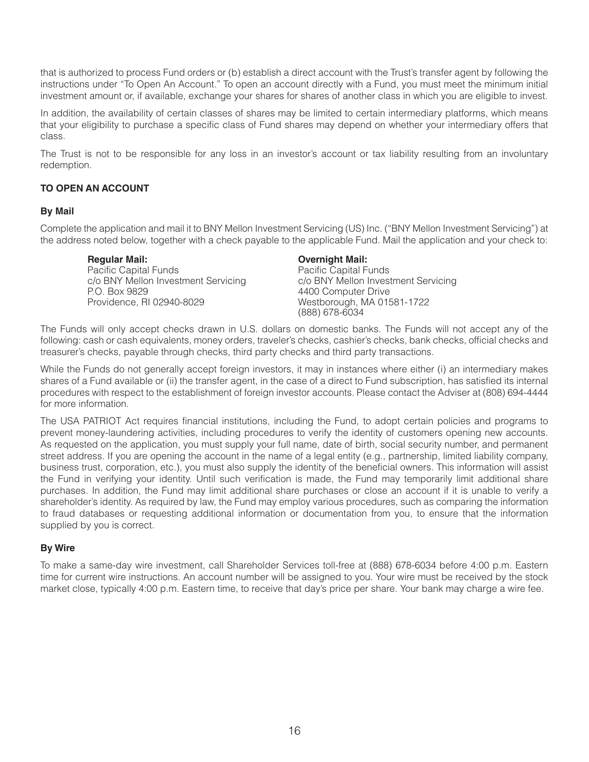that is authorized to process Fund orders or (b) establish a direct account with the Trust's transfer agent by following the instructions under "To Open An Account." To open an account directly with a Fund, you must meet the minimum initial investment amount or, if available, exchange your shares for shares of another class in which you are eligible to invest.

In addition, the availability of certain classes of shares may be limited to certain intermediary platforms, which means that your eligibility to purchase a specific class of Fund shares may depend on whether your intermediary offers that class.

The Trust is not to be responsible for any loss in an investor's account or tax liability resulting from an involuntary redemption.

## **TO OPEN AN ACCOUNT**

## **By Mail**

Complete the application and mail it to BNY Mellon Investment Servicing (US) Inc. ("BNY Mellon Investment Servicing") at the address noted below, together with a check payable to the applicable Fund. Mail the application and your check to:

**Regular Mail:** Pacific Capital Funds c/o BNY Mellon Investment Servicing P.O. Box 9829 Providence, RI 02940-8029

## **Overnight Mail:**

Pacific Capital Funds c/o BNY Mellon Investment Servicing 4400 Computer Drive Westborough, MA 01581-1722 (888) 678-6034

The Funds will only accept checks drawn in U.S. dollars on domestic banks. The Funds will not accept any of the following: cash or cash equivalents, money orders, traveler's checks, cashier's checks, bank checks, official checks and treasurer's checks, payable through checks, third party checks and third party transactions.

While the Funds do not generally accept foreign investors, it may in instances where either (i) an intermediary makes shares of a Fund available or (ii) the transfer agent, in the case of a direct to Fund subscription, has satisfied its internal procedures with respect to the establishment of foreign investor accounts. Please contact the Adviser at (808) 694-4444 for more information.

The USA PATRIOT Act requires financial institutions, including the Fund, to adopt certain policies and programs to prevent money-laundering activities, including procedures to verify the identity of customers opening new accounts. As requested on the application, you must supply your full name, date of birth, social security number, and permanent street address. If you are opening the account in the name of a legal entity (e.g., partnership, limited liability company, business trust, corporation, etc.), you must also supply the identity of the beneficial owners. This information will assist the Fund in verifying your identity. Until such verification is made, the Fund may temporarily limit additional share purchases. In addition, the Fund may limit additional share purchases or close an account if it is unable to verify a shareholder's identity. As required by law, the Fund may employ various procedures, such as comparing the information to fraud databases or requesting additional information or documentation from you, to ensure that the information supplied by you is correct.

## **By Wire**

To make a same-day wire investment, call Shareholder Services toll-free at (888) 678-6034 before 4:00 p.m. Eastern time for current wire instructions. An account number will be assigned to you. Your wire must be received by the stock market close, typically 4:00 p.m. Eastern time, to receive that day's price per share. Your bank may charge a wire fee.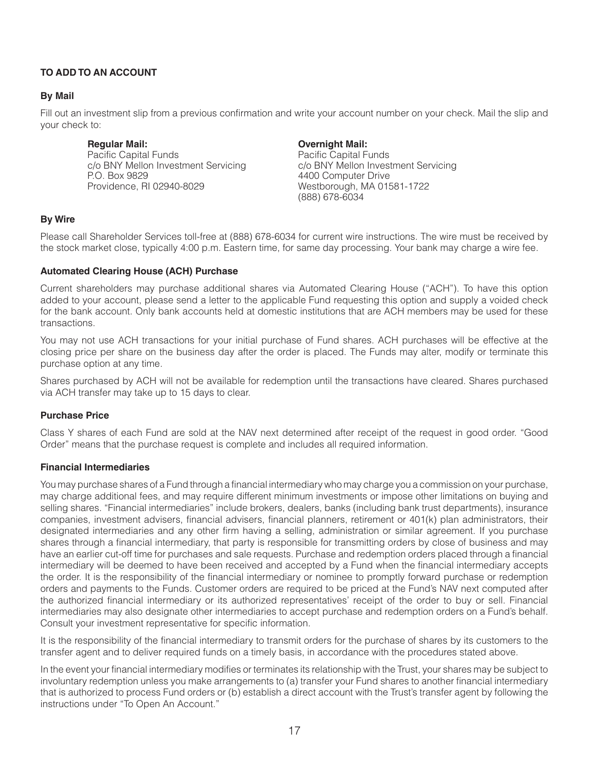## **TO ADD TO AN ACCOUNT**

## **By Mail**

Fill out an investment slip from a previous confirmation and write your account number on your check. Mail the slip and your check to:

**Regular Mail:** Pacific Capital Funds c/o BNY Mellon Investment Servicing P.O. Box 9829 Providence, RI 02940-8029

**Overnight Mail:** Pacific Capital Funds c/o BNY Mellon Investment Servicing 4400 Computer Drive Westborough, MA 01581-1722 (888) 678-6034

## **By Wire**

Please call Shareholder Services toll-free at (888) 678-6034 for current wire instructions. The wire must be received by the stock market close, typically 4:00 p.m. Eastern time, for same day processing. Your bank may charge a wire fee.

## **Automated Clearing House (ACH) Purchase**

Current shareholders may purchase additional shares via Automated Clearing House ("ACH"). To have this option added to your account, please send a letter to the applicable Fund requesting this option and supply a voided check for the bank account. Only bank accounts held at domestic institutions that are ACH members may be used for these transactions.

You may not use ACH transactions for your initial purchase of Fund shares. ACH purchases will be effective at the closing price per share on the business day after the order is placed. The Funds may alter, modify or terminate this purchase option at any time.

Shares purchased by ACH will not be available for redemption until the transactions have cleared. Shares purchased via ACH transfer may take up to 15 days to clear.

## **Purchase Price**

Class Y shares of each Fund are sold at the NAV next determined after receipt of the request in good order. "Good Order" means that the purchase request is complete and includes all required information.

## **Financial Intermediaries**

You may purchase shares of a Fund through a financial intermediary who may charge you a commission on your purchase, may charge additional fees, and may require different minimum investments or impose other limitations on buying and selling shares. "Financial intermediaries" include brokers, dealers, banks (including bank trust departments), insurance companies, investment advisers, financial advisers, financial planners, retirement or 401(k) plan administrators, their designated intermediaries and any other firm having a selling, administration or similar agreement. If you purchase shares through a financial intermediary, that party is responsible for transmitting orders by close of business and may have an earlier cut-off time for purchases and sale requests. Purchase and redemption orders placed through a financial intermediary will be deemed to have been received and accepted by a Fund when the financial intermediary accepts the order. It is the responsibility of the financial intermediary or nominee to promptly forward purchase or redemption orders and payments to the Funds. Customer orders are required to be priced at the Fund's NAV next computed after the authorized financial intermediary or its authorized representatives' receipt of the order to buy or sell. Financial intermediaries may also designate other intermediaries to accept purchase and redemption orders on a Fund's behalf. Consult your investment representative for specific information.

It is the responsibility of the financial intermediary to transmit orders for the purchase of shares by its customers to the transfer agent and to deliver required funds on a timely basis, in accordance with the procedures stated above.

In the event your financial intermediary modifies or terminates its relationship with the Trust, your shares may be subject to involuntary redemption unless you make arrangements to (a) transfer your Fund shares to another financial intermediary that is authorized to process Fund orders or (b) establish a direct account with the Trust's transfer agent by following the instructions under "To Open An Account."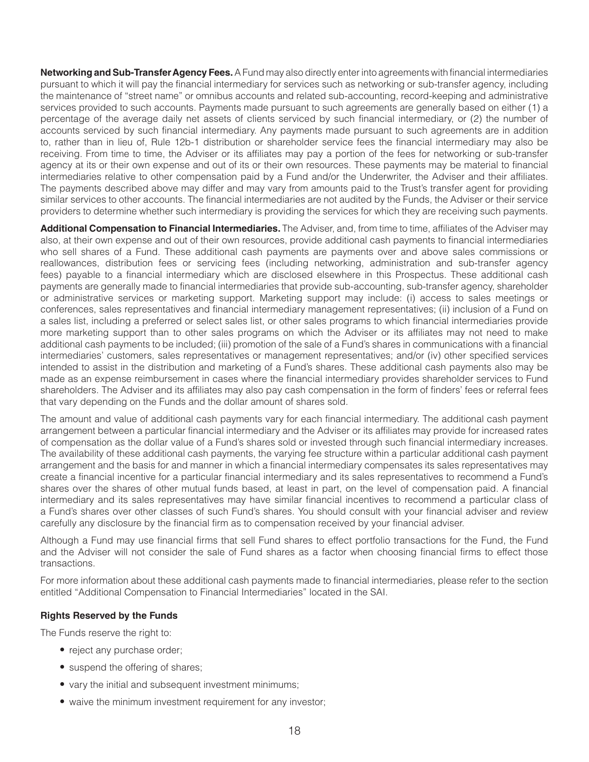**Networking and Sub-Transfer Agency Fees.** A Fund may also directly enter into agreements with financial intermediaries pursuant to which it will pay the financial intermediary for services such as networking or sub-transfer agency, including the maintenance of "street name" or omnibus accounts and related sub-accounting, record-keeping and administrative services provided to such accounts. Payments made pursuant to such agreements are generally based on either (1) a percentage of the average daily net assets of clients serviced by such financial intermediary, or (2) the number of accounts serviced by such financial intermediary. Any payments made pursuant to such agreements are in addition to, rather than in lieu of, Rule 12b-1 distribution or shareholder service fees the financial intermediary may also be receiving. From time to time, the Adviser or its affiliates may pay a portion of the fees for networking or sub-transfer agency at its or their own expense and out of its or their own resources. These payments may be material to financial intermediaries relative to other compensation paid by a Fund and/or the Underwriter, the Adviser and their affiliates. The payments described above may differ and may vary from amounts paid to the Trust's transfer agent for providing similar services to other accounts. The financial intermediaries are not audited by the Funds, the Adviser or their service providers to determine whether such intermediary is providing the services for which they are receiving such payments.

**Additional Compensation to Financial Intermediaries.** The Adviser, and, from time to time, affiliates of the Adviser may also, at their own expense and out of their own resources, provide additional cash payments to financial intermediaries who sell shares of a Fund. These additional cash payments are payments over and above sales commissions or reallowances, distribution fees or servicing fees (including networking, administration and sub-transfer agency fees) payable to a financial intermediary which are disclosed elsewhere in this Prospectus. These additional cash payments are generally made to financial intermediaries that provide sub-accounting, sub-transfer agency, shareholder or administrative services or marketing support. Marketing support may include: (i) access to sales meetings or conferences, sales representatives and financial intermediary management representatives; (ii) inclusion of a Fund on a sales list, including a preferred or select sales list, or other sales programs to which financial intermediaries provide more marketing support than to other sales programs on which the Adviser or its affiliates may not need to make additional cash payments to be included; (iii) promotion of the sale of a Fund's shares in communications with a financial intermediaries' customers, sales representatives or management representatives; and/or (iv) other specified services intended to assist in the distribution and marketing of a Fund's shares. These additional cash payments also may be made as an expense reimbursement in cases where the financial intermediary provides shareholder services to Fund shareholders. The Adviser and its affiliates may also pay cash compensation in the form of finders' fees or referral fees that vary depending on the Funds and the dollar amount of shares sold.

The amount and value of additional cash payments vary for each financial intermediary. The additional cash payment arrangement between a particular financial intermediary and the Adviser or its affiliates may provide for increased rates of compensation as the dollar value of a Fund's shares sold or invested through such financial intermediary increases. The availability of these additional cash payments, the varying fee structure within a particular additional cash payment arrangement and the basis for and manner in which a financial intermediary compensates its sales representatives may create a financial incentive for a particular financial intermediary and its sales representatives to recommend a Fund's shares over the shares of other mutual funds based, at least in part, on the level of compensation paid. A financial intermediary and its sales representatives may have similar financial incentives to recommend a particular class of a Fund's shares over other classes of such Fund's shares. You should consult with your financial adviser and review carefully any disclosure by the financial firm as to compensation received by your financial adviser.

Although a Fund may use financial firms that sell Fund shares to effect portfolio transactions for the Fund, the Fund and the Adviser will not consider the sale of Fund shares as a factor when choosing financial firms to effect those transactions.

For more information about these additional cash payments made to financial intermediaries, please refer to the section entitled "Additional Compensation to Financial Intermediaries" located in the SAI.

## **Rights Reserved by the Funds**

The Funds reserve the right to:

- reject any purchase order;
- suspend the offering of shares;
- vary the initial and subsequent investment minimums;
- waive the minimum investment requirement for any investor;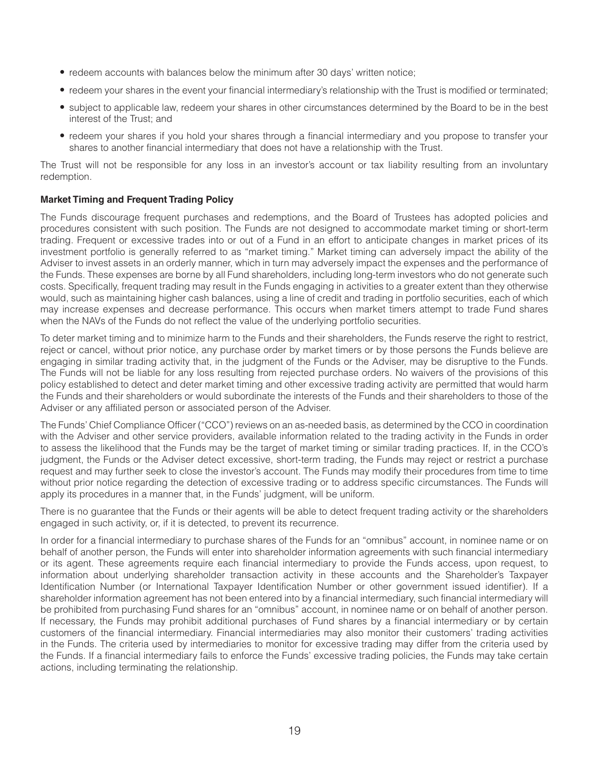- redeem accounts with balances below the minimum after 30 days' written notice;
- redeem your shares in the event your financial intermediary's relationship with the Trust is modified or terminated;
- subject to applicable law, redeem your shares in other circumstances determined by the Board to be in the best interest of the Trust; and
- redeem your shares if you hold your shares through a financial intermediary and you propose to transfer your shares to another financial intermediary that does not have a relationship with the Trust.

The Trust will not be responsible for any loss in an investor's account or tax liability resulting from an involuntary redemption.

## **Market Timing and Frequent Trading Policy**

The Funds discourage frequent purchases and redemptions, and the Board of Trustees has adopted policies and procedures consistent with such position. The Funds are not designed to accommodate market timing or short-term trading. Frequent or excessive trades into or out of a Fund in an effort to anticipate changes in market prices of its investment portfolio is generally referred to as "market timing." Market timing can adversely impact the ability of the Adviser to invest assets in an orderly manner, which in turn may adversely impact the expenses and the performance of the Funds. These expenses are borne by all Fund shareholders, including long-term investors who do not generate such costs. Specifically, frequent trading may result in the Funds engaging in activities to a greater extent than they otherwise would, such as maintaining higher cash balances, using a line of credit and trading in portfolio securities, each of which may increase expenses and decrease performance. This occurs when market timers attempt to trade Fund shares when the NAVs of the Funds do not reflect the value of the underlying portfolio securities.

To deter market timing and to minimize harm to the Funds and their shareholders, the Funds reserve the right to restrict, reject or cancel, without prior notice, any purchase order by market timers or by those persons the Funds believe are engaging in similar trading activity that, in the judgment of the Funds or the Adviser, may be disruptive to the Funds. The Funds will not be liable for any loss resulting from rejected purchase orders. No waivers of the provisions of this policy established to detect and deter market timing and other excessive trading activity are permitted that would harm the Funds and their shareholders or would subordinate the interests of the Funds and their shareholders to those of the Adviser or any affiliated person or associated person of the Adviser.

The Funds' Chief Compliance Officer ("CCO") reviews on an as-needed basis, as determined by the CCO in coordination with the Adviser and other service providers, available information related to the trading activity in the Funds in order to assess the likelihood that the Funds may be the target of market timing or similar trading practices. If, in the CCO's judgment, the Funds or the Adviser detect excessive, short-term trading, the Funds may reject or restrict a purchase request and may further seek to close the investor's account. The Funds may modify their procedures from time to time without prior notice regarding the detection of excessive trading or to address specific circumstances. The Funds will apply its procedures in a manner that, in the Funds' judgment, will be uniform.

There is no guarantee that the Funds or their agents will be able to detect frequent trading activity or the shareholders engaged in such activity, or, if it is detected, to prevent its recurrence.

In order for a financial intermediary to purchase shares of the Funds for an "omnibus" account, in nominee name or on behalf of another person, the Funds will enter into shareholder information agreements with such financial intermediary or its agent. These agreements require each financial intermediary to provide the Funds access, upon request, to information about underlying shareholder transaction activity in these accounts and the Shareholder's Taxpayer Identification Number (or International Taxpayer Identification Number or other government issued identifier). If a shareholder information agreement has not been entered into by a financial intermediary, such financial intermediary will be prohibited from purchasing Fund shares for an "omnibus" account, in nominee name or on behalf of another person. If necessary, the Funds may prohibit additional purchases of Fund shares by a financial intermediary or by certain customers of the financial intermediary. Financial intermediaries may also monitor their customers' trading activities in the Funds. The criteria used by intermediaries to monitor for excessive trading may differ from the criteria used by the Funds. If a financial intermediary fails to enforce the Funds' excessive trading policies, the Funds may take certain actions, including terminating the relationship.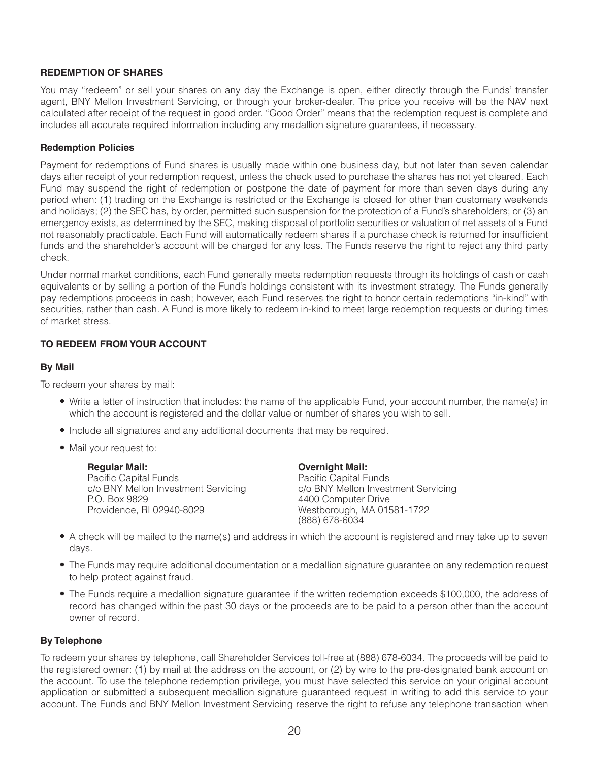## **REDEMPTION OF SHARES**

You may "redeem" or sell your shares on any day the Exchange is open, either directly through the Funds' transfer agent, BNY Mellon Investment Servicing, or through your broker-dealer. The price you receive will be the NAV next calculated after receipt of the request in good order. "Good Order" means that the redemption request is complete and includes all accurate required information including any medallion signature guarantees, if necessary.

## **Redemption Policies**

Payment for redemptions of Fund shares is usually made within one business day, but not later than seven calendar days after receipt of your redemption request, unless the check used to purchase the shares has not yet cleared. Each Fund may suspend the right of redemption or postpone the date of payment for more than seven days during any period when: (1) trading on the Exchange is restricted or the Exchange is closed for other than customary weekends and holidays; (2) the SEC has, by order, permitted such suspension for the protection of a Fund's shareholders; or (3) an emergency exists, as determined by the SEC, making disposal of portfolio securities or valuation of net assets of a Fund not reasonably practicable. Each Fund will automatically redeem shares if a purchase check is returned for insufficient funds and the shareholder's account will be charged for any loss. The Funds reserve the right to reject any third party check.

Under normal market conditions, each Fund generally meets redemption requests through its holdings of cash or cash equivalents or by selling a portion of the Fund's holdings consistent with its investment strategy. The Funds generally pay redemptions proceeds in cash; however, each Fund reserves the right to honor certain redemptions "in-kind" with securities, rather than cash. A Fund is more likely to redeem in-kind to meet large redemption requests or during times of market stress.

## **TO REDEEM FROM YOUR ACCOUNT**

## **By Mail**

To redeem your shares by mail:

- Write a letter of instruction that includes: the name of the applicable Fund, your account number, the name(s) in which the account is registered and the dollar value or number of shares you wish to sell.
- Include all signatures and any additional documents that may be required.
- Mail your request to:

| <b>Regular Mail:</b>                | <b>Overnight Mail:</b>              |
|-------------------------------------|-------------------------------------|
| Pacific Capital Funds               | Pacific Capital Funds               |
| c/o BNY Mellon Investment Servicing | c/o BNY Mellon Investment Servicing |
| P.O. Box 9829                       | 4400 Computer Drive                 |
| Providence, RI 02940-8029           | Westborough, MA 01581-1722          |
|                                     | (888) 678-6034                      |

- A check will be mailed to the name(s) and address in which the account is registered and may take up to seven days.
- The Funds may require additional documentation or a medallion signature guarantee on any redemption request to help protect against fraud.
- The Funds require a medallion signature guarantee if the written redemption exceeds \$100,000, the address of record has changed within the past 30 days or the proceeds are to be paid to a person other than the account owner of record.

## **By Telephone**

To redeem your shares by telephone, call Shareholder Services toll-free at (888) 678-6034. The proceeds will be paid to the registered owner: (1) by mail at the address on the account, or (2) by wire to the pre-designated bank account on the account. To use the telephone redemption privilege, you must have selected this service on your original account application or submitted a subsequent medallion signature guaranteed request in writing to add this service to your account. The Funds and BNY Mellon Investment Servicing reserve the right to refuse any telephone transaction when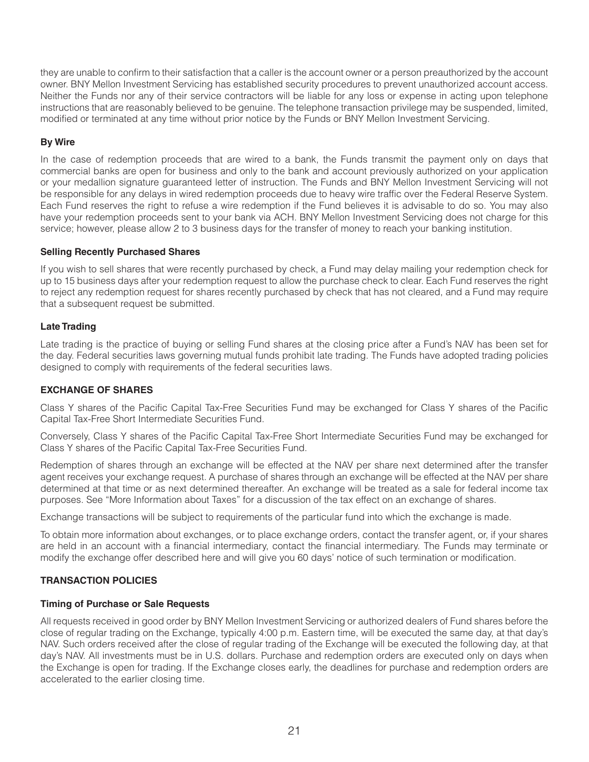they are unable to confirm to their satisfaction that a caller is the account owner or a person preauthorized by the account owner. BNY Mellon Investment Servicing has established security procedures to prevent unauthorized account access. Neither the Funds nor any of their service contractors will be liable for any loss or expense in acting upon telephone instructions that are reasonably believed to be genuine. The telephone transaction privilege may be suspended, limited, modified or terminated at any time without prior notice by the Funds or BNY Mellon Investment Servicing.

## **By Wire**

In the case of redemption proceeds that are wired to a bank, the Funds transmit the payment only on days that commercial banks are open for business and only to the bank and account previously authorized on your application or your medallion signature guaranteed letter of instruction. The Funds and BNY Mellon Investment Servicing will not be responsible for any delays in wired redemption proceeds due to heavy wire traffic over the Federal Reserve System. Each Fund reserves the right to refuse a wire redemption if the Fund believes it is advisable to do so. You may also have your redemption proceeds sent to your bank via ACH. BNY Mellon Investment Servicing does not charge for this service; however, please allow 2 to 3 business days for the transfer of money to reach your banking institution.

## **Selling Recently Purchased Shares**

If you wish to sell shares that were recently purchased by check, a Fund may delay mailing your redemption check for up to 15 business days after your redemption request to allow the purchase check to clear. Each Fund reserves the right to reject any redemption request for shares recently purchased by check that has not cleared, and a Fund may require that a subsequent request be submitted.

## **Late Trading**

Late trading is the practice of buying or selling Fund shares at the closing price after a Fund's NAV has been set for the day. Federal securities laws governing mutual funds prohibit late trading. The Funds have adopted trading policies designed to comply with requirements of the federal securities laws.

## **EXCHANGE OF SHARES**

Class Y shares of the Pacific Capital Tax-Free Securities Fund may be exchanged for Class Y shares of the Pacific Capital Tax-Free Short Intermediate Securities Fund.

Conversely, Class Y shares of the Pacific Capital Tax-Free Short Intermediate Securities Fund may be exchanged for Class Y shares of the Pacific Capital Tax-Free Securities Fund.

Redemption of shares through an exchange will be effected at the NAV per share next determined after the transfer agent receives your exchange request. A purchase of shares through an exchange will be effected at the NAV per share determined at that time or as next determined thereafter. An exchange will be treated as a sale for federal income tax purposes. See "More Information about Taxes" for a discussion of the tax effect on an exchange of shares.

Exchange transactions will be subject to requirements of the particular fund into which the exchange is made.

To obtain more information about exchanges, or to place exchange orders, contact the transfer agent, or, if your shares are held in an account with a financial intermediary, contact the financial intermediary. The Funds may terminate or modify the exchange offer described here and will give you 60 days' notice of such termination or modification.

## **TRANSACTION POLICIES**

## **Timing of Purchase or Sale Requests**

All requests received in good order by BNY Mellon Investment Servicing or authorized dealers of Fund shares before the close of regular trading on the Exchange, typically 4:00 p.m. Eastern time, will be executed the same day, at that day's NAV. Such orders received after the close of regular trading of the Exchange will be executed the following day, at that day's NAV. All investments must be in U.S. dollars. Purchase and redemption orders are executed only on days when the Exchange is open for trading. If the Exchange closes early, the deadlines for purchase and redemption orders are accelerated to the earlier closing time.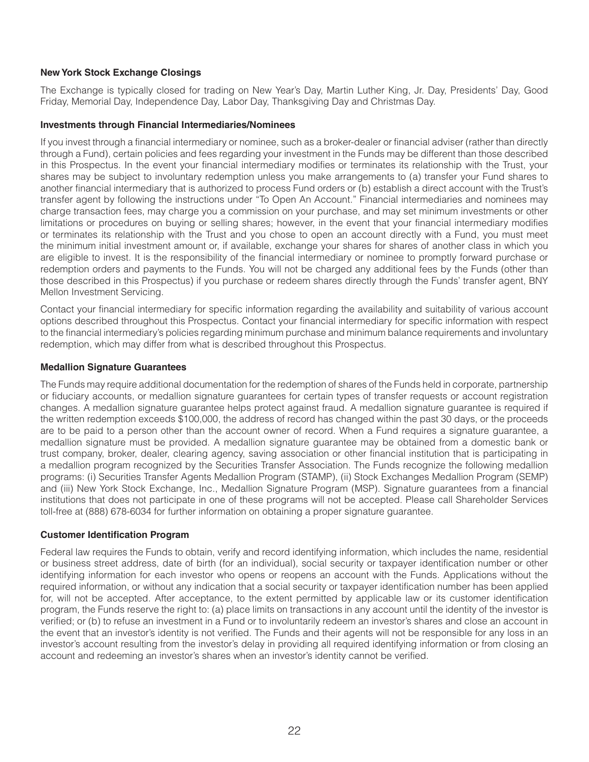## **New York Stock Exchange Closings**

The Exchange is typically closed for trading on New Year's Day, Martin Luther King, Jr. Day, Presidents' Day, Good Friday, Memorial Day, Independence Day, Labor Day, Thanksgiving Day and Christmas Day.

## **Investments through Financial Intermediaries/Nominees**

If you invest through a financial intermediary or nominee, such as a broker-dealer or financial adviser (rather than directly through a Fund), certain policies and fees regarding your investment in the Funds may be different than those described in this Prospectus. In the event your financial intermediary modifies or terminates its relationship with the Trust, your shares may be subject to involuntary redemption unless you make arrangements to (a) transfer your Fund shares to another financial intermediary that is authorized to process Fund orders or (b) establish a direct account with the Trust's transfer agent by following the instructions under "To Open An Account." Financial intermediaries and nominees may charge transaction fees, may charge you a commission on your purchase, and may set minimum investments or other limitations or procedures on buying or selling shares; however, in the event that your financial intermediary modifies or terminates its relationship with the Trust and you chose to open an account directly with a Fund, you must meet the minimum initial investment amount or, if available, exchange your shares for shares of another class in which you are eligible to invest. It is the responsibility of the financial intermediary or nominee to promptly forward purchase or redemption orders and payments to the Funds. You will not be charged any additional fees by the Funds (other than those described in this Prospectus) if you purchase or redeem shares directly through the Funds' transfer agent, BNY Mellon Investment Servicing.

Contact your financial intermediary for specific information regarding the availability and suitability of various account options described throughout this Prospectus. Contact your financial intermediary for specific information with respect to the financial intermediary's policies regarding minimum purchase and minimum balance requirements and involuntary redemption, which may differ from what is described throughout this Prospectus.

## **Medallion Signature Guarantees**

The Funds may require additional documentation for the redemption of shares of the Funds held in corporate, partnership or fiduciary accounts, or medallion signature guarantees for certain types of transfer requests or account registration changes. A medallion signature guarantee helps protect against fraud. A medallion signature guarantee is required if the written redemption exceeds \$100,000, the address of record has changed within the past 30 days, or the proceeds are to be paid to a person other than the account owner of record. When a Fund requires a signature guarantee, a medallion signature must be provided. A medallion signature guarantee may be obtained from a domestic bank or trust company, broker, dealer, clearing agency, saving association or other financial institution that is participating in a medallion program recognized by the Securities Transfer Association. The Funds recognize the following medallion programs: (i) Securities Transfer Agents Medallion Program (STAMP), (ii) Stock Exchanges Medallion Program (SEMP) and (iii) New York Stock Exchange, Inc., Medallion Signature Program (MSP). Signature guarantees from a financial institutions that does not participate in one of these programs will not be accepted. Please call Shareholder Services toll-free at (888) 678-6034 for further information on obtaining a proper signature guarantee.

## **Customer Identification Program**

Federal law requires the Funds to obtain, verify and record identifying information, which includes the name, residential or business street address, date of birth (for an individual), social security or taxpayer identification number or other identifying information for each investor who opens or reopens an account with the Funds. Applications without the required information, or without any indication that a social security or taxpayer identification number has been applied for, will not be accepted. After acceptance, to the extent permitted by applicable law or its customer identification program, the Funds reserve the right to: (a) place limits on transactions in any account until the identity of the investor is verified; or (b) to refuse an investment in a Fund or to involuntarily redeem an investor's shares and close an account in the event that an investor's identity is not verified. The Funds and their agents will not be responsible for any loss in an investor's account resulting from the investor's delay in providing all required identifying information or from closing an account and redeeming an investor's shares when an investor's identity cannot be verified.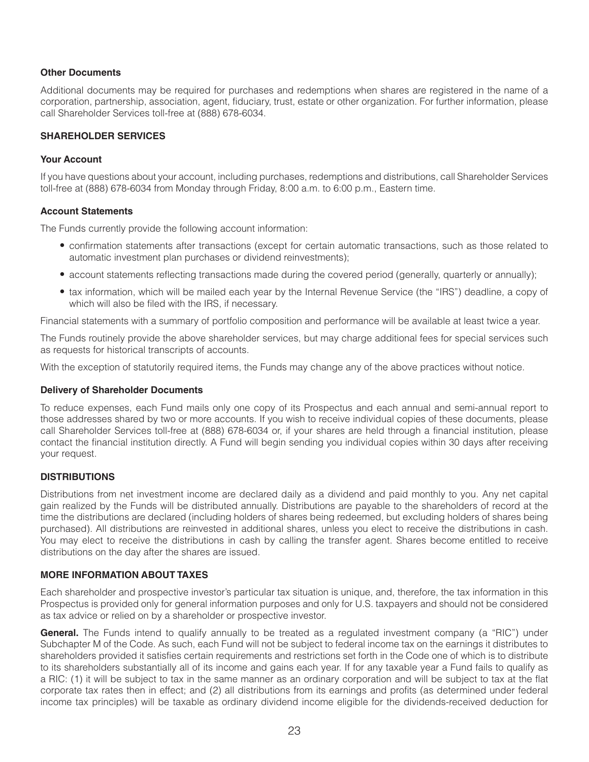## **Other Documents**

Additional documents may be required for purchases and redemptions when shares are registered in the name of a corporation, partnership, association, agent, fiduciary, trust, estate or other organization. For further information, please call Shareholder Services toll-free at (888) 678-6034.

## **SHAREHOLDER SERVICES**

## **Your Account**

If you have questions about your account, including purchases, redemptions and distributions, call Shareholder Services toll-free at (888) 678-6034 from Monday through Friday, 8:00 a.m. to 6:00 p.m., Eastern time.

## **Account Statements**

The Funds currently provide the following account information:

- confirmation statements after transactions (except for certain automatic transactions, such as those related to automatic investment plan purchases or dividend reinvestments);
- account statements reflecting transactions made during the covered period (generally, quarterly or annually);
- tax information, which will be mailed each year by the Internal Revenue Service (the "IRS") deadline, a copy of which will also be filed with the IRS, if necessary.

Financial statements with a summary of portfolio composition and performance will be available at least twice a year.

The Funds routinely provide the above shareholder services, but may charge additional fees for special services such as requests for historical transcripts of accounts.

With the exception of statutorily required items, the Funds may change any of the above practices without notice.

## **Delivery of Shareholder Documents**

To reduce expenses, each Fund mails only one copy of its Prospectus and each annual and semi-annual report to those addresses shared by two or more accounts. If you wish to receive individual copies of these documents, please call Shareholder Services toll-free at (888) 678-6034 or, if your shares are held through a financial institution, please contact the financial institution directly. A Fund will begin sending you individual copies within 30 days after receiving your request.

## **DISTRIBUTIONS**

Distributions from net investment income are declared daily as a dividend and paid monthly to you. Any net capital gain realized by the Funds will be distributed annually. Distributions are payable to the shareholders of record at the time the distributions are declared (including holders of shares being redeemed, but excluding holders of shares being purchased). All distributions are reinvested in additional shares, unless you elect to receive the distributions in cash. You may elect to receive the distributions in cash by calling the transfer agent. Shares become entitled to receive distributions on the day after the shares are issued.

## **MORE INFORMATION ABOUT TAXES**

Each shareholder and prospective investor's particular tax situation is unique, and, therefore, the tax information in this Prospectus is provided only for general information purposes and only for U.S. taxpayers and should not be considered as tax advice or relied on by a shareholder or prospective investor.

**General.** The Funds intend to qualify annually to be treated as a regulated investment company (a "RIC") under Subchapter M of the Code. As such, each Fund will not be subject to federal income tax on the earnings it distributes to shareholders provided it satisfies certain requirements and restrictions set forth in the Code one of which is to distribute to its shareholders substantially all of its income and gains each year. If for any taxable year a Fund fails to qualify as a RIC: (1) it will be subject to tax in the same manner as an ordinary corporation and will be subject to tax at the flat corporate tax rates then in effect; and (2) all distributions from its earnings and profits (as determined under federal income tax principles) will be taxable as ordinary dividend income eligible for the dividends-received deduction for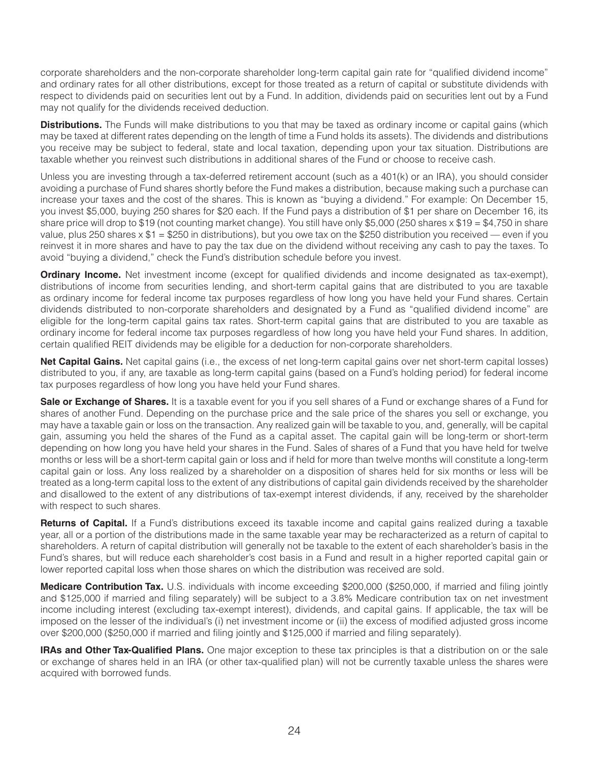corporate shareholders and the non-corporate shareholder long-term capital gain rate for "qualified dividend income" and ordinary rates for all other distributions, except for those treated as a return of capital or substitute dividends with respect to dividends paid on securities lent out by a Fund. In addition, dividends paid on securities lent out by a Fund may not qualify for the dividends received deduction.

**Distributions.** The Funds will make distributions to you that may be taxed as ordinary income or capital gains (which may be taxed at different rates depending on the length of time a Fund holds its assets). The dividends and distributions you receive may be subject to federal, state and local taxation, depending upon your tax situation. Distributions are taxable whether you reinvest such distributions in additional shares of the Fund or choose to receive cash.

Unless you are investing through a tax-deferred retirement account (such as a 401(k) or an IRA), you should consider avoiding a purchase of Fund shares shortly before the Fund makes a distribution, because making such a purchase can increase your taxes and the cost of the shares. This is known as "buying a dividend." For example: On December 15, you invest \$5,000, buying 250 shares for \$20 each. If the Fund pays a distribution of \$1 per share on December 16, its share price will drop to \$19 (not counting market change). You still have only \$5,000 (250 shares x \$19 = \$4,750 in share value, plus 250 shares  $x$  \$1 = \$250 in distributions), but you owe tax on the \$250 distribution you received — even if you reinvest it in more shares and have to pay the tax due on the dividend without receiving any cash to pay the taxes. To avoid "buying a dividend," check the Fund's distribution schedule before you invest.

**Ordinary Income.** Net investment income (except for qualified dividends and income designated as tax-exempt), distributions of income from securities lending, and short-term capital gains that are distributed to you are taxable as ordinary income for federal income tax purposes regardless of how long you have held your Fund shares. Certain dividends distributed to non-corporate shareholders and designated by a Fund as "qualified dividend income" are eligible for the long-term capital gains tax rates. Short-term capital gains that are distributed to you are taxable as ordinary income for federal income tax purposes regardless of how long you have held your Fund shares. In addition, certain qualified REIT dividends may be eligible for a deduction for non-corporate shareholders.

**Net Capital Gains.** Net capital gains (i.e., the excess of net long-term capital gains over net short-term capital losses) distributed to you, if any, are taxable as long-term capital gains (based on a Fund's holding period) for federal income tax purposes regardless of how long you have held your Fund shares.

**Sale or Exchange of Shares.** It is a taxable event for you if you sell shares of a Fund or exchange shares of a Fund for shares of another Fund. Depending on the purchase price and the sale price of the shares you sell or exchange, you may have a taxable gain or loss on the transaction. Any realized gain will be taxable to you, and, generally, will be capital gain, assuming you held the shares of the Fund as a capital asset. The capital gain will be long-term or short-term depending on how long you have held your shares in the Fund. Sales of shares of a Fund that you have held for twelve months or less will be a short-term capital gain or loss and if held for more than twelve months will constitute a long-term capital gain or loss. Any loss realized by a shareholder on a disposition of shares held for six months or less will be treated as a long-term capital loss to the extent of any distributions of capital gain dividends received by the shareholder and disallowed to the extent of any distributions of tax-exempt interest dividends, if any, received by the shareholder with respect to such shares.

**Returns of Capital.** If a Fund's distributions exceed its taxable income and capital gains realized during a taxable year, all or a portion of the distributions made in the same taxable year may be recharacterized as a return of capital to shareholders. A return of capital distribution will generally not be taxable to the extent of each shareholder's basis in the Fund's shares, but will reduce each shareholder's cost basis in a Fund and result in a higher reported capital gain or lower reported capital loss when those shares on which the distribution was received are sold.

**Medicare Contribution Tax.** U.S. individuals with income exceeding \$200,000 (\$250,000, if married and filing jointly and \$125,000 if married and filing separately) will be subject to a 3.8% Medicare contribution tax on net investment income including interest (excluding tax-exempt interest), dividends, and capital gains. If applicable, the tax will be imposed on the lesser of the individual's (i) net investment income or (ii) the excess of modified adjusted gross income over \$200,000 (\$250,000 if married and filing jointly and \$125,000 if married and filing separately).

**IRAs and Other Tax-Qualified Plans.** One major exception to these tax principles is that a distribution on or the sale or exchange of shares held in an IRA (or other tax-qualified plan) will not be currently taxable unless the shares were acquired with borrowed funds.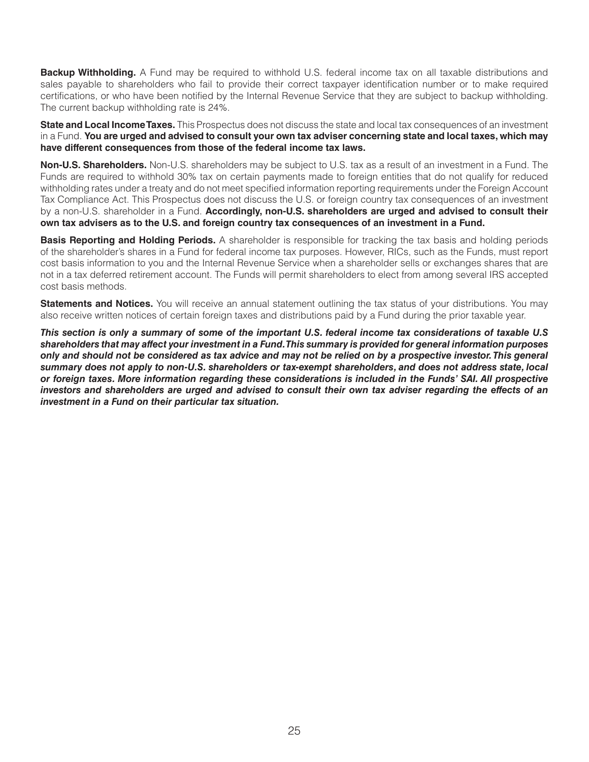**Backup Withholding.** A Fund may be required to withhold U.S. federal income tax on all taxable distributions and sales payable to shareholders who fail to provide their correct taxpayer identification number or to make required certifications, or who have been notified by the Internal Revenue Service that they are subject to backup withholding. The current backup withholding rate is 24%.

**State and Local Income Taxes.** This Prospectus does not discuss the state and local tax consequences of an investment in a Fund. **You are urged and advised to consult your own tax adviser concerning state and local taxes, which may have different consequences from those of the federal income tax laws.**

**Non-U.S. Shareholders.** Non-U.S. shareholders may be subject to U.S. tax as a result of an investment in a Fund. The Funds are required to withhold 30% tax on certain payments made to foreign entities that do not qualify for reduced withholding rates under a treaty and do not meet specified information reporting requirements under the Foreign Account Tax Compliance Act. This Prospectus does not discuss the U.S. or foreign country tax consequences of an investment by a non-U.S. shareholder in a Fund. **Accordingly, non-U.S. shareholders are urged and advised to consult their own tax advisers as to the U.S. and foreign country tax consequences of an investment in a Fund.**

**Basis Reporting and Holding Periods.** A shareholder is responsible for tracking the tax basis and holding periods of the shareholder's shares in a Fund for federal income tax purposes. However, RICs, such as the Funds, must report cost basis information to you and the Internal Revenue Service when a shareholder sells or exchanges shares that are not in a tax deferred retirement account. The Funds will permit shareholders to elect from among several IRS accepted cost basis methods.

**Statements and Notices.** You will receive an annual statement outlining the tax status of your distributions. You may also receive written notices of certain foreign taxes and distributions paid by a Fund during the prior taxable year.

*This section is only a summary of some of the important U.S. federal income tax considerations of taxable U.S shareholders that may affect your investment in a Fund. This summary is provided for general information purposes only and should not be considered as tax advice and may not be relied on by a prospective investor. This general summary does not apply to non-U.S. shareholders or tax-exempt shareholders, and does not address state, local or foreign taxes. More information regarding these considerations is included in the Funds' SAI. All prospective investors and shareholders are urged and advised to consult their own tax adviser regarding the effects of an investment in a Fund on their particular tax situation.*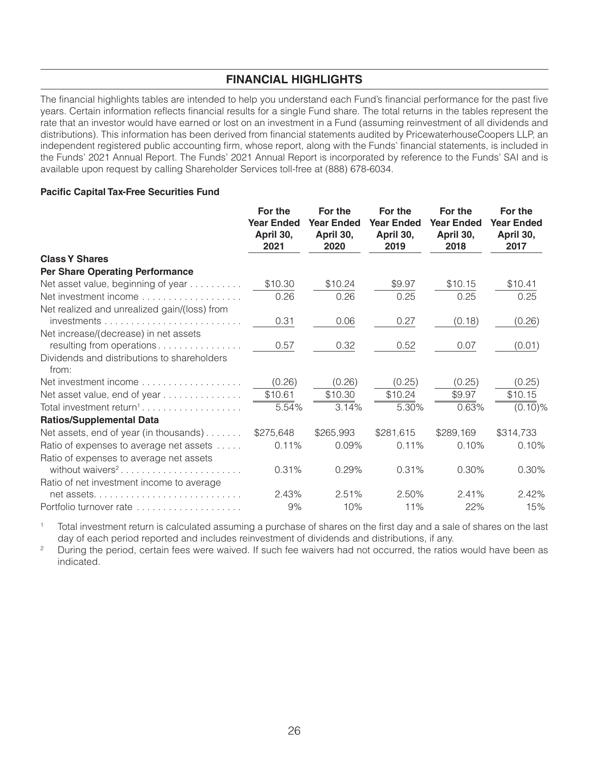## **FINANCIAL HIGHLIGHTS**

The financial highlights tables are intended to help you understand each Fund's financial performance for the past five years. Certain information reflects financial results for a single Fund share. The total returns in the tables represent the rate that an investor would have earned or lost on an investment in a Fund (assuming reinvestment of all dividends and distributions). This information has been derived from financial statements audited by PricewaterhouseCoopers LLP, an independent registered public accounting firm, whose report, along with the Funds' financial statements, is included in the Funds' 2021 Annual Report. The Funds' 2021 Annual Report is incorporated by reference to the Funds' SAI and is available upon request by calling Shareholder Services toll-free at (888) 678-6034.

## **Pacific Capital Tax-Free Securities Fund**

|                                                                         | For the<br><b>Year Ended</b><br>April 30,<br>2021 | For the<br><b>Year Ended</b><br>April 30,<br>2020 | For the<br><b>Year Ended</b><br>April 30,<br>2019 | For the<br><b>Year Ended</b><br>April 30,<br>2018 | For the<br><b>Year Ended</b><br>April 30,<br>2017 |
|-------------------------------------------------------------------------|---------------------------------------------------|---------------------------------------------------|---------------------------------------------------|---------------------------------------------------|---------------------------------------------------|
| <b>Class Y Shares</b>                                                   |                                                   |                                                   |                                                   |                                                   |                                                   |
| <b>Per Share Operating Performance</b>                                  |                                                   |                                                   |                                                   |                                                   |                                                   |
| Net asset value, beginning of year                                      | \$10.30                                           | \$10.24                                           | \$9.97                                            | \$10.15                                           | \$10.41                                           |
| Net investment income                                                   | 0.26                                              | 0.26                                              | 0.25                                              | 0.25                                              | 0.25                                              |
| Net realized and unrealized gain/(loss) from                            |                                                   |                                                   |                                                   |                                                   |                                                   |
|                                                                         | 0.31                                              | 0.06                                              | 0.27                                              | (0.18)                                            | (0.26)                                            |
| Net increase/(decrease) in net assets<br>resulting from operations      | 0.57                                              | 0.32                                              | 0.52                                              | 0.07                                              | (0.01)                                            |
| Dividends and distributions to shareholders<br>from:                    |                                                   |                                                   |                                                   |                                                   |                                                   |
|                                                                         | (0.26)                                            | (0.26)                                            | (0.25)                                            | (0.25)                                            | (0.25)                                            |
| Net asset value, end of year                                            | \$10.61                                           | \$10.30                                           | \$10.24                                           | \$9.97                                            | \$10.15                                           |
| Total investment return <sup>1</sup>                                    | 5.54%                                             | 3.14%                                             | 5.30%                                             | 0.63%                                             | $(0.10)$ %                                        |
| <b>Ratios/Supplemental Data</b>                                         |                                                   |                                                   |                                                   |                                                   |                                                   |
| Net assets, end of year (in thousands)                                  | \$275,648                                         | \$265,993                                         | \$281,615                                         | \$289,169                                         | \$314,733                                         |
| Ratio of expenses to average net assets                                 | 0.11%                                             | 0.09%                                             | 0.11%                                             | 0.10%                                             | 0.10%                                             |
| Ratio of expenses to average net assets<br>without waivers <sup>2</sup> | 0.31%                                             | 0.29%                                             | 0.31%                                             | 0.30%                                             | 0.30%                                             |
| Ratio of net investment income to average                               |                                                   |                                                   |                                                   |                                                   |                                                   |
|                                                                         | 2.43%                                             | 2.51%                                             | 2.50%                                             | 2.41%                                             | 2.42%                                             |
| Portfolio turnover rate                                                 | 9%                                                | 10%                                               | 11%                                               | 22%                                               | 15%                                               |

 $\mathbf{1}$ Total investment return is calculated assuming a purchase of shares on the first day and a sale of shares on the last day of each period reported and includes reinvestment of dividends and distributions, if any.

 $\overline{z}$ During the period, certain fees were waived. If such fee waivers had not occurred, the ratios would have been as indicated.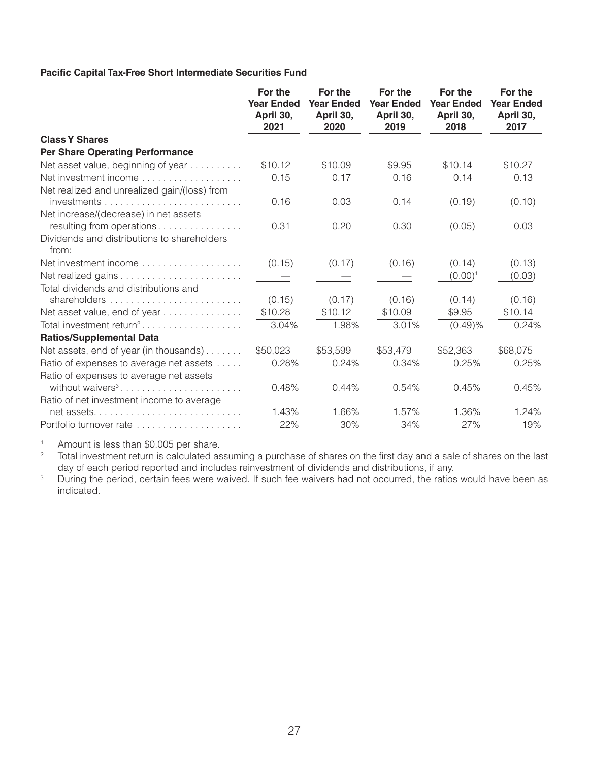## Pacific Capital Tax-Free Short Intermediate Securities Fund

|                                                                         | For the<br><b>Year Ended</b><br>April 30,<br>2021 | For the<br><b>Year Ended</b><br>April 30,<br>2020 | For the<br><b>Year Ended</b><br>April 30,<br>2019 | For the<br><b>Year Ended</b><br>April 30,<br>2018 | For the<br><b>Year Ended</b><br>April 30,<br>2017 |
|-------------------------------------------------------------------------|---------------------------------------------------|---------------------------------------------------|---------------------------------------------------|---------------------------------------------------|---------------------------------------------------|
| <b>Class Y Shares</b>                                                   |                                                   |                                                   |                                                   |                                                   |                                                   |
| <b>Per Share Operating Performance</b>                                  |                                                   |                                                   |                                                   |                                                   |                                                   |
| Net asset value, beginning of year                                      | \$10.12                                           | \$10.09                                           | \$9.95                                            | \$10.14                                           | \$10.27                                           |
|                                                                         | 0.15                                              | 0.17                                              | 0.16                                              | 0.14                                              | 0.13                                              |
| Net realized and unrealized gain/(loss) from                            |                                                   |                                                   |                                                   |                                                   |                                                   |
|                                                                         | 0.16                                              | 0.03                                              | 0.14                                              | (0.19)                                            | (0.10)                                            |
| Net increase/(decrease) in net assets                                   |                                                   |                                                   |                                                   |                                                   |                                                   |
| resulting from operations                                               | 0.31                                              | 0.20                                              | 0.30                                              | (0.05)                                            | 0.03                                              |
| Dividends and distributions to shareholders<br>from:                    |                                                   |                                                   |                                                   |                                                   |                                                   |
| Net investment income                                                   | (0.15)                                            | (0.17)                                            | (0.16)                                            | (0.14)                                            | (0.13)                                            |
|                                                                         |                                                   |                                                   |                                                   | $(0.00)^1$                                        | (0.03)                                            |
| Total dividends and distributions and                                   |                                                   |                                                   |                                                   |                                                   |                                                   |
|                                                                         | (0.15)                                            | (0.17)                                            | (0.16)                                            | (0.14)                                            | (0.16)                                            |
| Net asset value, end of year                                            | \$10.28                                           | \$10.12                                           | \$10.09                                           | \$9.95                                            | \$10.14                                           |
| Total investment return <sup>2</sup>                                    | 3.04%                                             | 1.98%                                             | 3.01%                                             | (0.49)%                                           | 0.24%                                             |
| <b>Ratios/Supplemental Data</b>                                         |                                                   |                                                   |                                                   |                                                   |                                                   |
| Net assets, end of year (in thousands)                                  | \$50,023                                          | \$53,599                                          | \$53,479                                          | \$52,363                                          | \$68,075                                          |
| Ratio of expenses to average net assets                                 | 0.28%                                             | 0.24%                                             | 0.34%                                             | 0.25%                                             | 0.25%                                             |
| Ratio of expenses to average net assets<br>without waivers <sup>3</sup> | 0.48%                                             | 0.44%                                             | 0.54%                                             | 0.45%                                             | 0.45%                                             |
| Ratio of net investment income to average                               |                                                   |                                                   |                                                   |                                                   |                                                   |
|                                                                         | 1.43%                                             | 1.66%                                             | 1.57%                                             | 1.36%                                             | 1.24%                                             |
| Portfolio turnover rate                                                 | 22%                                               | 30%                                               | 34%                                               | 27%                                               | 19%                                               |

 $\uparrow$ Amount is less than \$0.005 per share.

 $\overline{c}$ Total investment return is calculated assuming a purchase of shares on the first day and a sale of shares on the last day of each period reported and includes reinvestment of dividends and distributions, if any.

 $\mathsf 3$ During the period, certain fees were waived. If such fee waivers had not occurred, the ratios would have been as indicated.